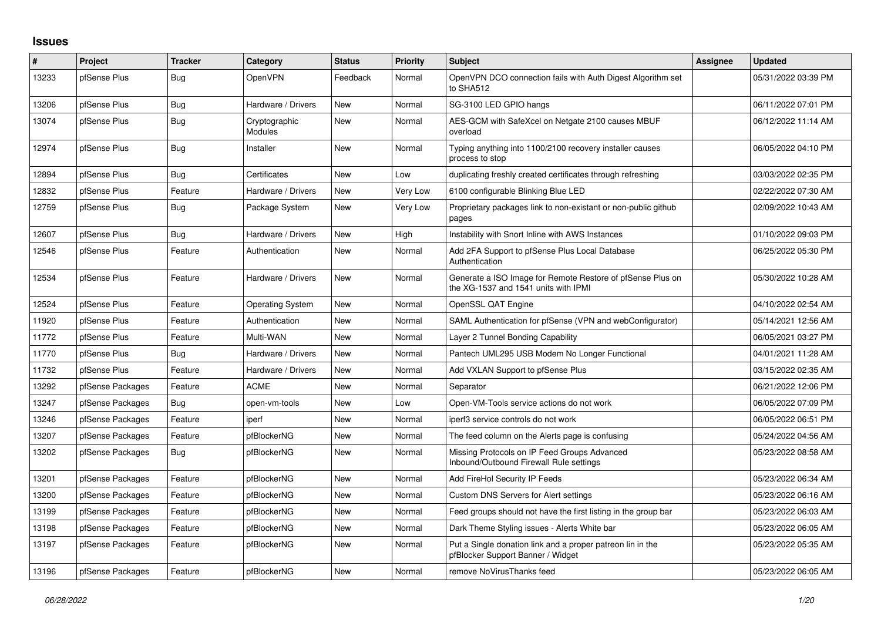## **Issues**

| #     | Project          | <b>Tracker</b> | Category                 | <b>Status</b> | <b>Priority</b> | <b>Subject</b>                                                                                     | Assignee | <b>Updated</b>      |
|-------|------------------|----------------|--------------------------|---------------|-----------------|----------------------------------------------------------------------------------------------------|----------|---------------------|
| 13233 | pfSense Plus     | Bug            | <b>OpenVPN</b>           | Feedback      | Normal          | OpenVPN DCO connection fails with Auth Digest Algorithm set<br>to SHA512                           |          | 05/31/2022 03:39 PM |
| 13206 | pfSense Plus     | Bug            | Hardware / Drivers       | New           | Normal          | SG-3100 LED GPIO hangs                                                                             |          | 06/11/2022 07:01 PM |
| 13074 | pfSense Plus     | Bug            | Cryptographic<br>Modules | New           | Normal          | AES-GCM with SafeXcel on Netgate 2100 causes MBUF<br>overload                                      |          | 06/12/2022 11:14 AM |
| 12974 | pfSense Plus     | Bug            | Installer                | New           | Normal          | Typing anything into 1100/2100 recovery installer causes<br>process to stop                        |          | 06/05/2022 04:10 PM |
| 12894 | pfSense Plus     | Bug            | Certificates             | New           | Low             | duplicating freshly created certificates through refreshing                                        |          | 03/03/2022 02:35 PM |
| 12832 | pfSense Plus     | Feature        | Hardware / Drivers       | New           | Very Low        | 6100 configurable Blinking Blue LED                                                                |          | 02/22/2022 07:30 AM |
| 12759 | pfSense Plus     | Bug            | Package System           | New           | Very Low        | Proprietary packages link to non-existant or non-public github<br>pages                            |          | 02/09/2022 10:43 AM |
| 12607 | pfSense Plus     | Bug            | Hardware / Drivers       | New           | High            | Instability with Snort Inline with AWS Instances                                                   |          | 01/10/2022 09:03 PM |
| 12546 | pfSense Plus     | Feature        | Authentication           | New           | Normal          | Add 2FA Support to pfSense Plus Local Database<br>Authentication                                   |          | 06/25/2022 05:30 PM |
| 12534 | pfSense Plus     | Feature        | Hardware / Drivers       | <b>New</b>    | Normal          | Generate a ISO Image for Remote Restore of pfSense Plus on<br>the XG-1537 and 1541 units with IPMI |          | 05/30/2022 10:28 AM |
| 12524 | pfSense Plus     | Feature        | <b>Operating System</b>  | New           | Normal          | OpenSSL QAT Engine                                                                                 |          | 04/10/2022 02:54 AM |
| 11920 | pfSense Plus     | Feature        | Authentication           | New           | Normal          | SAML Authentication for pfSense (VPN and webConfigurator)                                          |          | 05/14/2021 12:56 AM |
| 11772 | pfSense Plus     | Feature        | Multi-WAN                | New           | Normal          | Layer 2 Tunnel Bonding Capability                                                                  |          | 06/05/2021 03:27 PM |
| 11770 | pfSense Plus     | Bug            | Hardware / Drivers       | New           | Normal          | Pantech UML295 USB Modem No Longer Functional                                                      |          | 04/01/2021 11:28 AM |
| 11732 | pfSense Plus     | Feature        | Hardware / Drivers       | New           | Normal          | Add VXLAN Support to pfSense Plus                                                                  |          | 03/15/2022 02:35 AM |
| 13292 | pfSense Packages | Feature        | <b>ACME</b>              | New           | Normal          | Separator                                                                                          |          | 06/21/2022 12:06 PM |
| 13247 | pfSense Packages | Bug            | open-vm-tools            | New           | Low             | Open-VM-Tools service actions do not work                                                          |          | 06/05/2022 07:09 PM |
| 13246 | pfSense Packages | Feature        | iperf                    | New           | Normal          | iperf3 service controls do not work                                                                |          | 06/05/2022 06:51 PM |
| 13207 | pfSense Packages | Feature        | pfBlockerNG              | New           | Normal          | The feed column on the Alerts page is confusing                                                    |          | 05/24/2022 04:56 AM |
| 13202 | pfSense Packages | Bug            | pfBlockerNG              | New           | Normal          | Missing Protocols on IP Feed Groups Advanced<br>Inbound/Outbound Firewall Rule settings            |          | 05/23/2022 08:58 AM |
| 13201 | pfSense Packages | Feature        | pfBlockerNG              | <b>New</b>    | Normal          | Add FireHol Security IP Feeds                                                                      |          | 05/23/2022 06:34 AM |
| 13200 | pfSense Packages | Feature        | pfBlockerNG              | New           | Normal          | Custom DNS Servers for Alert settings                                                              |          | 05/23/2022 06:16 AM |
| 13199 | pfSense Packages | Feature        | pfBlockerNG              | <b>New</b>    | Normal          | Feed groups should not have the first listing in the group bar                                     |          | 05/23/2022 06:03 AM |
| 13198 | pfSense Packages | Feature        | pfBlockerNG              | New           | Normal          | Dark Theme Styling issues - Alerts White bar                                                       |          | 05/23/2022 06:05 AM |
| 13197 | pfSense Packages | Feature        | pfBlockerNG              | New           | Normal          | Put a Single donation link and a proper patreon lin in the<br>pfBlocker Support Banner / Widget    |          | 05/23/2022 05:35 AM |
| 13196 | pfSense Packages | Feature        | pfBlockerNG              | <b>New</b>    | Normal          | remove NoVirusThanks feed                                                                          |          | 05/23/2022 06:05 AM |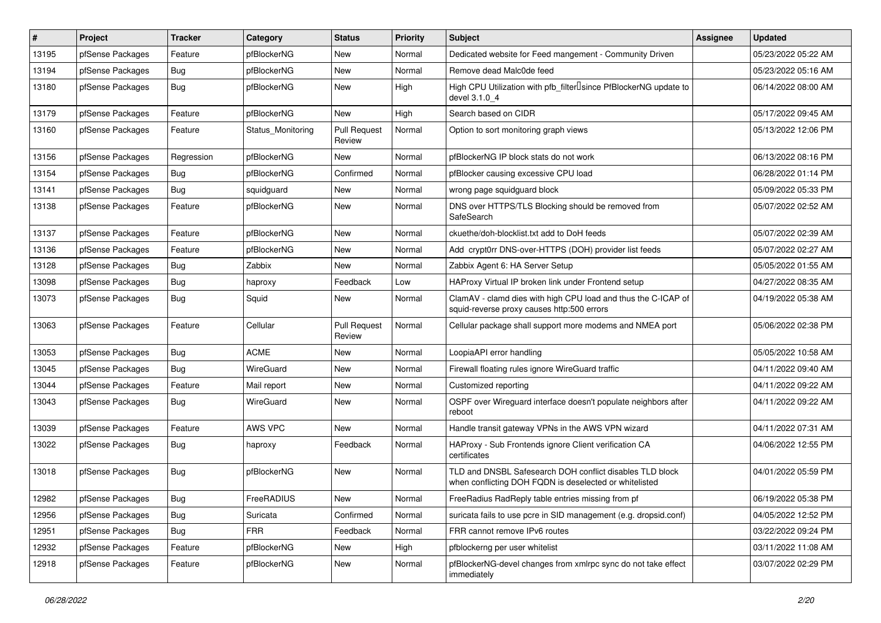| $\vert$ # | Project          | <b>Tracker</b> | Category          | <b>Status</b>                 | <b>Priority</b> | Subject                                                                                                            | <b>Assignee</b> | <b>Updated</b>      |
|-----------|------------------|----------------|-------------------|-------------------------------|-----------------|--------------------------------------------------------------------------------------------------------------------|-----------------|---------------------|
| 13195     | pfSense Packages | Feature        | pfBlockerNG       | New                           | Normal          | Dedicated website for Feed mangement - Community Driven                                                            |                 | 05/23/2022 05:22 AM |
| 13194     | pfSense Packages | <b>Bug</b>     | pfBlockerNG       | New                           | Normal          | Remove dead Malc0de feed                                                                                           |                 | 05/23/2022 05:16 AM |
| 13180     | pfSense Packages | Bug            | pfBlockerNG       | New                           | High            | High CPU Utilization with pfb_filterlsince PfBlockerNG update to<br>devel 3.1.0 4                                  |                 | 06/14/2022 08:00 AM |
| 13179     | pfSense Packages | Feature        | pfBlockerNG       | New                           | High            | Search based on CIDR                                                                                               |                 | 05/17/2022 09:45 AM |
| 13160     | pfSense Packages | Feature        | Status_Monitoring | <b>Pull Request</b><br>Review | Normal          | Option to sort monitoring graph views                                                                              |                 | 05/13/2022 12:06 PM |
| 13156     | pfSense Packages | Regression     | pfBlockerNG       | New                           | Normal          | pfBlockerNG IP block stats do not work                                                                             |                 | 06/13/2022 08:16 PM |
| 13154     | pfSense Packages | Bug            | pfBlockerNG       | Confirmed                     | Normal          | pfBlocker causing excessive CPU load                                                                               |                 | 06/28/2022 01:14 PM |
| 13141     | pfSense Packages | Bug            | squidguard        | New                           | Normal          | wrong page squidguard block                                                                                        |                 | 05/09/2022 05:33 PM |
| 13138     | pfSense Packages | Feature        | pfBlockerNG       | New                           | Normal          | DNS over HTTPS/TLS Blocking should be removed from<br>SafeSearch                                                   |                 | 05/07/2022 02:52 AM |
| 13137     | pfSense Packages | Feature        | pfBlockerNG       | <b>New</b>                    | Normal          | ckuethe/doh-blocklist.txt add to DoH feeds                                                                         |                 | 05/07/2022 02:39 AM |
| 13136     | pfSense Packages | Feature        | pfBlockerNG       | New                           | Normal          | Add crypt0rr DNS-over-HTTPS (DOH) provider list feeds                                                              |                 | 05/07/2022 02:27 AM |
| 13128     | pfSense Packages | <b>Bug</b>     | Zabbix            | New                           | Normal          | Zabbix Agent 6: HA Server Setup                                                                                    |                 | 05/05/2022 01:55 AM |
| 13098     | pfSense Packages | Bug            | haproxy           | Feedback                      | Low             | HAProxy Virtual IP broken link under Frontend setup                                                                |                 | 04/27/2022 08:35 AM |
| 13073     | pfSense Packages | Bug            | Squid             | New                           | Normal          | ClamAV - clamd dies with high CPU load and thus the C-ICAP of<br>squid-reverse proxy causes http:500 errors        |                 | 04/19/2022 05:38 AM |
| 13063     | pfSense Packages | Feature        | Cellular          | <b>Pull Request</b><br>Review | Normal          | Cellular package shall support more modems and NMEA port                                                           |                 | 05/06/2022 02:38 PM |
| 13053     | pfSense Packages | Bug            | <b>ACME</b>       | <b>New</b>                    | Normal          | LoopiaAPI error handling                                                                                           |                 | 05/05/2022 10:58 AM |
| 13045     | pfSense Packages | Bug            | WireGuard         | New                           | Normal          | Firewall floating rules ignore WireGuard traffic                                                                   |                 | 04/11/2022 09:40 AM |
| 13044     | pfSense Packages | Feature        | Mail report       | New                           | Normal          | Customized reporting                                                                                               |                 | 04/11/2022 09:22 AM |
| 13043     | pfSense Packages | Bug            | WireGuard         | New                           | Normal          | OSPF over Wireguard interface doesn't populate neighbors after<br>reboot                                           |                 | 04/11/2022 09:22 AM |
| 13039     | pfSense Packages | Feature        | AWS VPC           | New                           | Normal          | Handle transit gateway VPNs in the AWS VPN wizard                                                                  |                 | 04/11/2022 07:31 AM |
| 13022     | pfSense Packages | Bug            | haproxy           | Feedback                      | Normal          | HAProxy - Sub Frontends ignore Client verification CA<br>certificates                                              |                 | 04/06/2022 12:55 PM |
| 13018     | pfSense Packages | <b>Bug</b>     | pfBlockerNG       | New                           | Normal          | TLD and DNSBL Safesearch DOH conflict disables TLD block<br>when conflicting DOH FQDN is deselected or whitelisted |                 | 04/01/2022 05:59 PM |
| 12982     | pfSense Packages | <b>Bug</b>     | FreeRADIUS        | New                           | Normal          | FreeRadius RadReply table entries missing from pf                                                                  |                 | 06/19/2022 05:38 PM |
| 12956     | pfSense Packages | <b>Bug</b>     | Suricata          | Confirmed                     | Normal          | suricata fails to use pcre in SID management (e.g. dropsid.conf)                                                   |                 | 04/05/2022 12:52 PM |
| 12951     | pfSense Packages | Bug            | <b>FRR</b>        | Feedback                      | Normal          | FRR cannot remove IPv6 routes                                                                                      |                 | 03/22/2022 09:24 PM |
| 12932     | pfSense Packages | Feature        | pfBlockerNG       | New                           | High            | pfblockerng per user whitelist                                                                                     |                 | 03/11/2022 11:08 AM |
| 12918     | pfSense Packages | Feature        | pfBlockerNG       | New                           | Normal          | pfBlockerNG-devel changes from xmlrpc sync do not take effect<br>immediately                                       |                 | 03/07/2022 02:29 PM |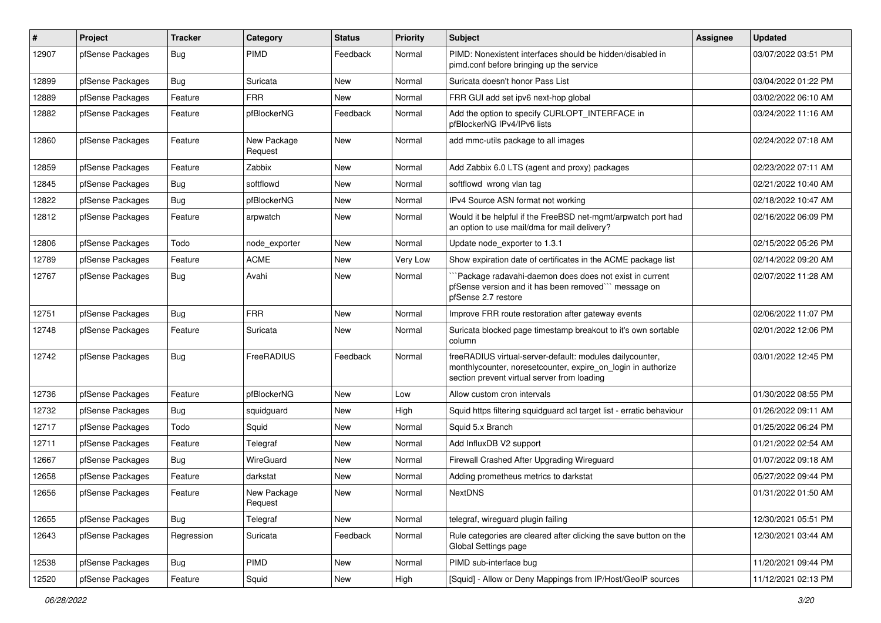| $\pmb{\#}$ | Project          | <b>Tracker</b> | Category               | <b>Status</b> | <b>Priority</b> | <b>Subject</b>                                                                                                                                                          | <b>Assignee</b> | <b>Updated</b>      |
|------------|------------------|----------------|------------------------|---------------|-----------------|-------------------------------------------------------------------------------------------------------------------------------------------------------------------------|-----------------|---------------------|
| 12907      | pfSense Packages | <b>Bug</b>     | <b>PIMD</b>            | Feedback      | Normal          | PIMD: Nonexistent interfaces should be hidden/disabled in<br>pimd.conf before bringing up the service                                                                   |                 | 03/07/2022 03:51 PM |
| 12899      | pfSense Packages | Bug            | Suricata               | New           | Normal          | Suricata doesn't honor Pass List                                                                                                                                        |                 | 03/04/2022 01:22 PM |
| 12889      | pfSense Packages | Feature        | <b>FRR</b>             | New           | Normal          | FRR GUI add set ipv6 next-hop global                                                                                                                                    |                 | 03/02/2022 06:10 AM |
| 12882      | pfSense Packages | Feature        | pfBlockerNG            | Feedback      | Normal          | Add the option to specify CURLOPT_INTERFACE in<br>pfBlockerNG IPv4/IPv6 lists                                                                                           |                 | 03/24/2022 11:16 AM |
| 12860      | pfSense Packages | Feature        | New Package<br>Request | New           | Normal          | add mmc-utils package to all images                                                                                                                                     |                 | 02/24/2022 07:18 AM |
| 12859      | pfSense Packages | Feature        | Zabbix                 | New           | Normal          | Add Zabbix 6.0 LTS (agent and proxy) packages                                                                                                                           |                 | 02/23/2022 07:11 AM |
| 12845      | pfSense Packages | Bug            | softflowd              | <b>New</b>    | Normal          | softflowd wrong vlan tag                                                                                                                                                |                 | 02/21/2022 10:40 AM |
| 12822      | pfSense Packages | Bug            | pfBlockerNG            | New           | Normal          | IPv4 Source ASN format not working                                                                                                                                      |                 | 02/18/2022 10:47 AM |
| 12812      | pfSense Packages | Feature        | arpwatch               | New           | Normal          | Would it be helpful if the FreeBSD net-mgmt/arpwatch port had<br>an option to use mail/dma for mail delivery?                                                           |                 | 02/16/2022 06:09 PM |
| 12806      | pfSense Packages | Todo           | node exporter          | New           | Normal          | Update node exporter to 1.3.1                                                                                                                                           |                 | 02/15/2022 05:26 PM |
| 12789      | pfSense Packages | Feature        | <b>ACME</b>            | New           | Very Low        | Show expiration date of certificates in the ACME package list                                                                                                           |                 | 02/14/2022 09:20 AM |
| 12767      | pfSense Packages | Bug            | Avahi                  | New           | Normal          | 'Package radavahi-daemon does does not exist in current<br>pfSense version and it has been removed"" message on<br>pfSense 2.7 restore                                  |                 | 02/07/2022 11:28 AM |
| 12751      | pfSense Packages | <b>Bug</b>     | <b>FRR</b>             | New           | Normal          | Improve FRR route restoration after gateway events                                                                                                                      |                 | 02/06/2022 11:07 PM |
| 12748      | pfSense Packages | Feature        | Suricata               | New           | Normal          | Suricata blocked page timestamp breakout to it's own sortable<br>column                                                                                                 |                 | 02/01/2022 12:06 PM |
| 12742      | pfSense Packages | <b>Bug</b>     | FreeRADIUS             | Feedback      | Normal          | freeRADIUS virtual-server-default: modules dailycounter,<br>monthlycounter, noresetcounter, expire_on_login in authorize<br>section prevent virtual server from loading |                 | 03/01/2022 12:45 PM |
| 12736      | pfSense Packages | Feature        | pfBlockerNG            | New           | Low             | Allow custom cron intervals                                                                                                                                             |                 | 01/30/2022 08:55 PM |
| 12732      | pfSense Packages | Bug            | squidguard             | New           | High            | Squid https filtering squidguard acl target list - erratic behaviour                                                                                                    |                 | 01/26/2022 09:11 AM |
| 12717      | pfSense Packages | Todo           | Squid                  | New           | Normal          | Squid 5.x Branch                                                                                                                                                        |                 | 01/25/2022 06:24 PM |
| 12711      | pfSense Packages | Feature        | Telegraf               | New           | Normal          | Add InfluxDB V2 support                                                                                                                                                 |                 | 01/21/2022 02:54 AM |
| 12667      | pfSense Packages | Bug            | WireGuard              | New           | Normal          | Firewall Crashed After Upgrading Wireguard                                                                                                                              |                 | 01/07/2022 09:18 AM |
| 12658      | pfSense Packages | Feature        | darkstat               | New           | Normal          | Adding prometheus metrics to darkstat                                                                                                                                   |                 | 05/27/2022 09:44 PM |
| 12656      | pfSense Packages | Feature        | New Package<br>Request | New           | Normal          | <b>NextDNS</b>                                                                                                                                                          |                 | 01/31/2022 01:50 AM |
| 12655      | pfSense Packages | Bug            | Telegraf               | New           | Normal          | telegraf, wireguard plugin failing                                                                                                                                      |                 | 12/30/2021 05:51 PM |
| 12643      | pfSense Packages | Regression     | Suricata               | Feedback      | Normal          | Rule categories are cleared after clicking the save button on the<br>Global Settings page                                                                               |                 | 12/30/2021 03:44 AM |
| 12538      | pfSense Packages | Bug            | PIMD                   | New           | Normal          | PIMD sub-interface bug                                                                                                                                                  |                 | 11/20/2021 09:44 PM |
| 12520      | pfSense Packages | Feature        | Squid                  | New           | High            | [Squid] - Allow or Deny Mappings from IP/Host/GeoIP sources                                                                                                             |                 | 11/12/2021 02:13 PM |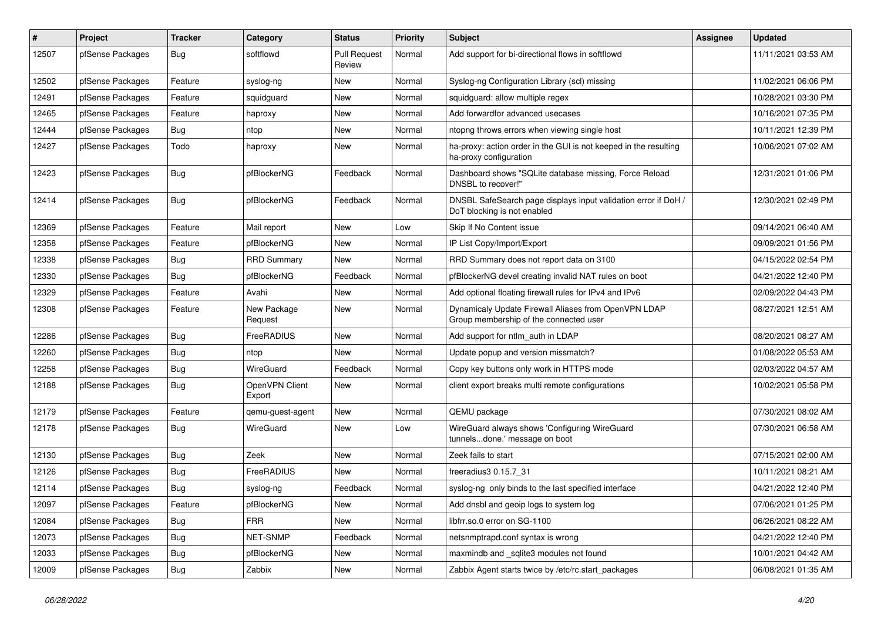| #     | Project          | <b>Tracker</b> | Category                 | <b>Status</b>                 | <b>Priority</b> | <b>Subject</b>                                                                                 | <b>Assignee</b> | <b>Updated</b>      |
|-------|------------------|----------------|--------------------------|-------------------------------|-----------------|------------------------------------------------------------------------------------------------|-----------------|---------------------|
| 12507 | pfSense Packages | Bug            | softflowd                | <b>Pull Request</b><br>Review | Normal          | Add support for bi-directional flows in softflowd                                              |                 | 11/11/2021 03:53 AM |
| 12502 | pfSense Packages | Feature        | syslog-ng                | New                           | Normal          | Syslog-ng Configuration Library (scl) missing                                                  |                 | 11/02/2021 06:06 PM |
| 12491 | pfSense Packages | Feature        | squidguard               | New                           | Normal          | squidguard: allow multiple regex                                                               |                 | 10/28/2021 03:30 PM |
| 12465 | pfSense Packages | Feature        | haproxy                  | New                           | Normal          | Add forwardfor advanced usecases                                                               |                 | 10/16/2021 07:35 PM |
| 12444 | pfSense Packages | Bug            | ntop                     | New                           | Normal          | ntopng throws errors when viewing single host                                                  |                 | 10/11/2021 12:39 PM |
| 12427 | pfSense Packages | Todo           | haproxy                  | New                           | Normal          | ha-proxy: action order in the GUI is not keeped in the resulting<br>ha-proxy configuration     |                 | 10/06/2021 07:02 AM |
| 12423 | pfSense Packages | Bug            | pfBlockerNG              | Feedback                      | Normal          | Dashboard shows "SQLite database missing, Force Reload<br>DNSBL to recover!"                   |                 | 12/31/2021 01:06 PM |
| 12414 | pfSense Packages | Bug            | pfBlockerNG              | Feedback                      | Normal          | DNSBL SafeSearch page displays input validation error if DoH /<br>DoT blocking is not enabled  |                 | 12/30/2021 02:49 PM |
| 12369 | pfSense Packages | Feature        | Mail report              | New                           | Low             | Skip If No Content issue                                                                       |                 | 09/14/2021 06:40 AM |
| 12358 | pfSense Packages | Feature        | pfBlockerNG              | New                           | Normal          | IP List Copy/Import/Export                                                                     |                 | 09/09/2021 01:56 PM |
| 12338 | pfSense Packages | <b>Bug</b>     | <b>RRD Summary</b>       | New                           | Normal          | RRD Summary does not report data on 3100                                                       |                 | 04/15/2022 02:54 PM |
| 12330 | pfSense Packages | Bug            | pfBlockerNG              | Feedback                      | Normal          | pfBlockerNG devel creating invalid NAT rules on boot                                           |                 | 04/21/2022 12:40 PM |
| 12329 | pfSense Packages | Feature        | Avahi                    | New                           | Normal          | Add optional floating firewall rules for IPv4 and IPv6                                         |                 | 02/09/2022 04:43 PM |
| 12308 | pfSense Packages | Feature        | New Package<br>Request   | New                           | Normal          | Dynamicaly Update Firewall Aliases from OpenVPN LDAP<br>Group membership of the connected user |                 | 08/27/2021 12:51 AM |
| 12286 | pfSense Packages | <b>Bug</b>     | FreeRADIUS               | New                           | Normal          | Add support for ntlm_auth in LDAP                                                              |                 | 08/20/2021 08:27 AM |
| 12260 | pfSense Packages | Bug            | ntop                     | New                           | Normal          | Update popup and version missmatch?                                                            |                 | 01/08/2022 05:53 AM |
| 12258 | pfSense Packages | <b>Bug</b>     | WireGuard                | Feedback                      | Normal          | Copy key buttons only work in HTTPS mode                                                       |                 | 02/03/2022 04:57 AM |
| 12188 | pfSense Packages | Bug            | OpenVPN Client<br>Export | New                           | Normal          | client export breaks multi remote configurations                                               |                 | 10/02/2021 05:58 PM |
| 12179 | pfSense Packages | Feature        | qemu-guest-agent         | New                           | Normal          | QEMU package                                                                                   |                 | 07/30/2021 08:02 AM |
| 12178 | pfSense Packages | Bug            | WireGuard                | New                           | Low             | WireGuard always shows 'Configuring WireGuard<br>tunnelsdone.' message on boot                 |                 | 07/30/2021 06:58 AM |
| 12130 | pfSense Packages | Bug            | Zeek                     | New                           | Normal          | Zeek fails to start                                                                            |                 | 07/15/2021 02:00 AM |
| 12126 | pfSense Packages | Bug            | FreeRADIUS               | New                           | Normal          | freeradius3 0.15.7 31                                                                          |                 | 10/11/2021 08:21 AM |
| 12114 | pfSense Packages | <b>Bug</b>     | syslog-ng                | Feedback                      | Normal          | syslog-ng only binds to the last specified interface                                           |                 | 04/21/2022 12:40 PM |
| 12097 | pfSense Packages | Feature        | pfBlockerNG              | New                           | Normal          | Add dnsbl and geoip logs to system log                                                         |                 | 07/06/2021 01:25 PM |
| 12084 | pfSense Packages | Bug            | <b>FRR</b>               | New                           | Normal          | libfrr.so.0 error on SG-1100                                                                   |                 | 06/26/2021 08:22 AM |
| 12073 | pfSense Packages | Bug            | NET-SNMP                 | Feedback                      | Normal          | netsnmptrapd.conf syntax is wrong                                                              |                 | 04/21/2022 12:40 PM |
| 12033 | pfSense Packages | Bug            | pfBlockerNG              | New                           | Normal          | maxmindb and _sqlite3 modules not found                                                        |                 | 10/01/2021 04:42 AM |
| 12009 | pfSense Packages | <b>Bug</b>     | Zabbix                   | New                           | Normal          | Zabbix Agent starts twice by /etc/rc.start_packages                                            |                 | 06/08/2021 01:35 AM |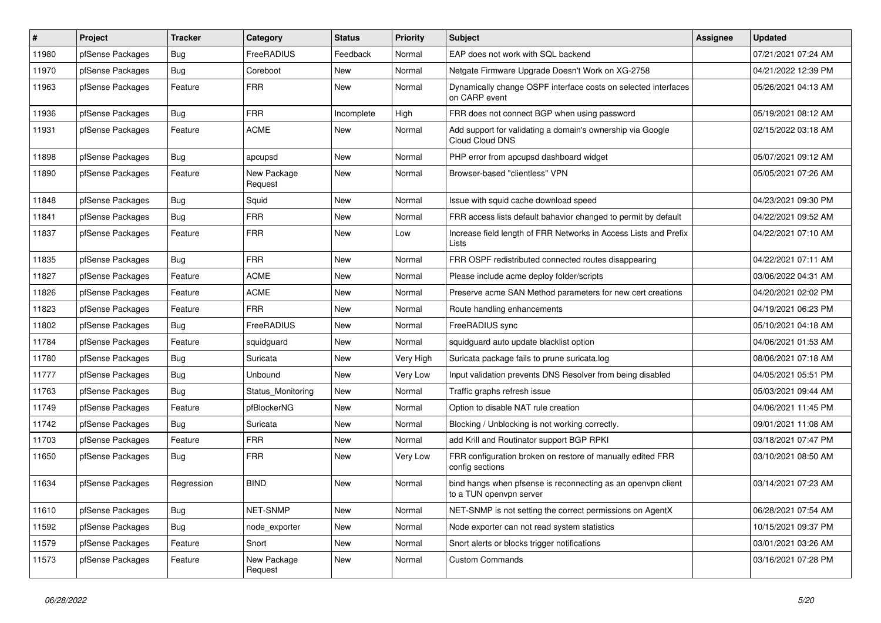| $\vert$ # | Project          | <b>Tracker</b> | Category               | <b>Status</b> | <b>Priority</b> | Subject                                                                                 | <b>Assignee</b> | <b>Updated</b>      |
|-----------|------------------|----------------|------------------------|---------------|-----------------|-----------------------------------------------------------------------------------------|-----------------|---------------------|
| 11980     | pfSense Packages | <b>Bug</b>     | FreeRADIUS             | Feedback      | Normal          | EAP does not work with SQL backend                                                      |                 | 07/21/2021 07:24 AM |
| 11970     | pfSense Packages | <b>Bug</b>     | Coreboot               | <b>New</b>    | Normal          | Netgate Firmware Upgrade Doesn't Work on XG-2758                                        |                 | 04/21/2022 12:39 PM |
| 11963     | pfSense Packages | Feature        | <b>FRR</b>             | New           | Normal          | Dynamically change OSPF interface costs on selected interfaces<br>on CARP event         |                 | 05/26/2021 04:13 AM |
| 11936     | pfSense Packages | Bug            | <b>FRR</b>             | Incomplete    | High            | FRR does not connect BGP when using password                                            |                 | 05/19/2021 08:12 AM |
| 11931     | pfSense Packages | Feature        | <b>ACME</b>            | New           | Normal          | Add support for validating a domain's ownership via Google<br>Cloud Cloud DNS           |                 | 02/15/2022 03:18 AM |
| 11898     | pfSense Packages | Bug            | apcupsd                | New           | Normal          | PHP error from apcupsd dashboard widget                                                 |                 | 05/07/2021 09:12 AM |
| 11890     | pfSense Packages | Feature        | New Package<br>Request | New           | Normal          | Browser-based "clientless" VPN                                                          |                 | 05/05/2021 07:26 AM |
| 11848     | pfSense Packages | Bug            | Squid                  | New           | Normal          | Issue with squid cache download speed                                                   |                 | 04/23/2021 09:30 PM |
| 11841     | pfSense Packages | <b>Bug</b>     | <b>FRR</b>             | New           | Normal          | FRR access lists default bahavior changed to permit by default                          |                 | 04/22/2021 09:52 AM |
| 11837     | pfSense Packages | Feature        | <b>FRR</b>             | New           | Low             | Increase field length of FRR Networks in Access Lists and Prefix<br>Lists               |                 | 04/22/2021 07:10 AM |
| 11835     | pfSense Packages | Bug            | <b>FRR</b>             | New           | Normal          | FRR OSPF redistributed connected routes disappearing                                    |                 | 04/22/2021 07:11 AM |
| 11827     | pfSense Packages | Feature        | <b>ACME</b>            | New           | Normal          | Please include acme deploy folder/scripts                                               |                 | 03/06/2022 04:31 AM |
| 11826     | pfSense Packages | Feature        | <b>ACME</b>            | New           | Normal          | Preserve acme SAN Method parameters for new cert creations                              |                 | 04/20/2021 02:02 PM |
| 11823     | pfSense Packages | Feature        | <b>FRR</b>             | New           | Normal          | Route handling enhancements                                                             |                 | 04/19/2021 06:23 PM |
| 11802     | pfSense Packages | Bug            | FreeRADIUS             | New           | Normal          | FreeRADIUS sync                                                                         |                 | 05/10/2021 04:18 AM |
| 11784     | pfSense Packages | Feature        | squidguard             | New           | Normal          | squidguard auto update blacklist option                                                 |                 | 04/06/2021 01:53 AM |
| 11780     | pfSense Packages | <b>Bug</b>     | Suricata               | New           | Very High       | Suricata package fails to prune suricata.log                                            |                 | 08/06/2021 07:18 AM |
| 11777     | pfSense Packages | <b>Bug</b>     | Unbound                | New           | Very Low        | Input validation prevents DNS Resolver from being disabled                              |                 | 04/05/2021 05:51 PM |
| 11763     | pfSense Packages | Bug            | Status Monitoring      | New           | Normal          | Traffic graphs refresh issue                                                            |                 | 05/03/2021 09:44 AM |
| 11749     | pfSense Packages | Feature        | pfBlockerNG            | New           | Normal          | Option to disable NAT rule creation                                                     |                 | 04/06/2021 11:45 PM |
| 11742     | pfSense Packages | Bug            | Suricata               | New           | Normal          | Blocking / Unblocking is not working correctly.                                         |                 | 09/01/2021 11:08 AM |
| 11703     | pfSense Packages | Feature        | <b>FRR</b>             | <b>New</b>    | Normal          | add Krill and Routinator support BGP RPKI                                               |                 | 03/18/2021 07:47 PM |
| 11650     | pfSense Packages | Bug            | <b>FRR</b>             | New           | Very Low        | FRR configuration broken on restore of manually edited FRR<br>config sections           |                 | 03/10/2021 08:50 AM |
| 11634     | pfSense Packages | Regression     | <b>BIND</b>            | <b>New</b>    | Normal          | bind hangs when pfsense is reconnecting as an openvpn client<br>to a TUN openvpn server |                 | 03/14/2021 07:23 AM |
| 11610     | pfSense Packages | <b>Bug</b>     | NET-SNMP               | New           | Normal          | NET-SNMP is not setting the correct permissions on AgentX                               |                 | 06/28/2021 07:54 AM |
| 11592     | pfSense Packages | Bug            | node_exporter          | New           | Normal          | Node exporter can not read system statistics                                            |                 | 10/15/2021 09:37 PM |
| 11579     | pfSense Packages | Feature        | Snort                  | New           | Normal          | Snort alerts or blocks trigger notifications                                            |                 | 03/01/2021 03:26 AM |
| 11573     | pfSense Packages | Feature        | New Package<br>Request | New           | Normal          | <b>Custom Commands</b>                                                                  |                 | 03/16/2021 07:28 PM |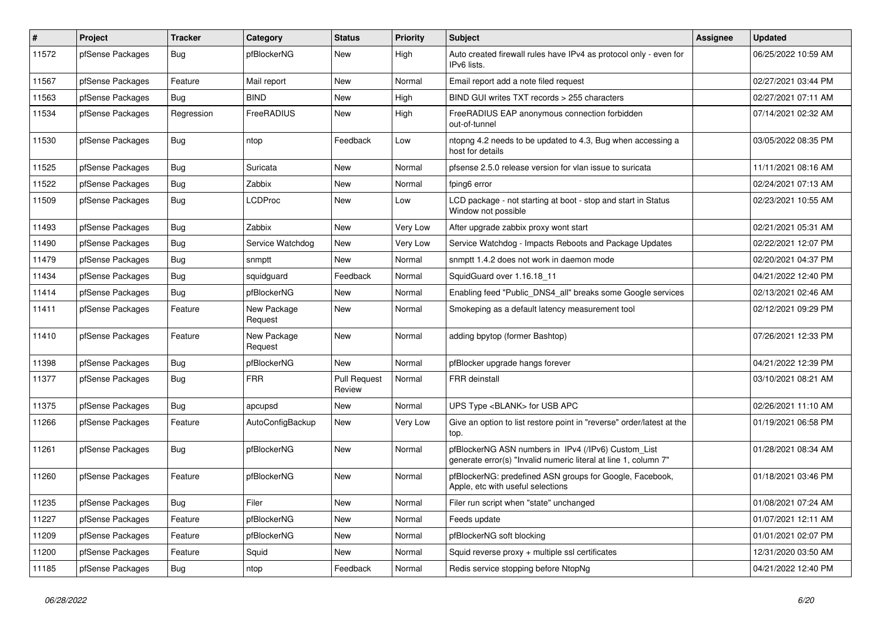| $\vert$ # | Project          | <b>Tracker</b> | Category               | <b>Status</b>                 | <b>Priority</b> | <b>Subject</b>                                                                                                         | <b>Assignee</b> | <b>Updated</b>      |
|-----------|------------------|----------------|------------------------|-------------------------------|-----------------|------------------------------------------------------------------------------------------------------------------------|-----------------|---------------------|
| 11572     | pfSense Packages | Bug            | pfBlockerNG            | New                           | High            | Auto created firewall rules have IPv4 as protocol only - even for<br>IPv6 lists.                                       |                 | 06/25/2022 10:59 AM |
| 11567     | pfSense Packages | Feature        | Mail report            | New                           | Normal          | Email report add a note filed request                                                                                  |                 | 02/27/2021 03:44 PM |
| 11563     | pfSense Packages | Bug            | <b>BIND</b>            | New                           | High            | BIND GUI writes TXT records > 255 characters                                                                           |                 | 02/27/2021 07:11 AM |
| 11534     | pfSense Packages | Regression     | FreeRADIUS             | New                           | High            | FreeRADIUS EAP anonymous connection forbidden<br>out-of-tunnel                                                         |                 | 07/14/2021 02:32 AM |
| 11530     | pfSense Packages | <b>Bug</b>     | ntop                   | Feedback                      | Low             | ntopng 4.2 needs to be updated to 4.3, Bug when accessing a<br>host for details                                        |                 | 03/05/2022 08:35 PM |
| 11525     | pfSense Packages | Bug            | Suricata               | New                           | Normal          | pfsense 2.5.0 release version for vlan issue to suricata                                                               |                 | 11/11/2021 08:16 AM |
| 11522     | pfSense Packages | Bug            | Zabbix                 | New                           | Normal          | fping6 error                                                                                                           |                 | 02/24/2021 07:13 AM |
| 11509     | pfSense Packages | Bug            | <b>LCDProc</b>         | New                           | Low             | LCD package - not starting at boot - stop and start in Status<br>Window not possible                                   |                 | 02/23/2021 10:55 AM |
| 11493     | pfSense Packages | Bug            | Zabbix                 | New                           | Very Low        | After upgrade zabbix proxy wont start                                                                                  |                 | 02/21/2021 05:31 AM |
| 11490     | pfSense Packages | Bug            | Service Watchdog       | New                           | Very Low        | Service Watchdog - Impacts Reboots and Package Updates                                                                 |                 | 02/22/2021 12:07 PM |
| 11479     | pfSense Packages | Bug            | snmptt                 | New                           | Normal          | snmptt 1.4.2 does not work in daemon mode                                                                              |                 | 02/20/2021 04:37 PM |
| 11434     | pfSense Packages | Bug            | squidguard             | Feedback                      | Normal          | SquidGuard over 1.16.18 11                                                                                             |                 | 04/21/2022 12:40 PM |
| 11414     | pfSense Packages | Bug            | pfBlockerNG            | New                           | Normal          | Enabling feed "Public_DNS4_all" breaks some Google services                                                            |                 | 02/13/2021 02:46 AM |
| 11411     | pfSense Packages | Feature        | New Package<br>Request | New                           | Normal          | Smokeping as a default latency measurement tool                                                                        |                 | 02/12/2021 09:29 PM |
| 11410     | pfSense Packages | Feature        | New Package<br>Request | New                           | Normal          | adding bpytop (former Bashtop)                                                                                         |                 | 07/26/2021 12:33 PM |
| 11398     | pfSense Packages | Bug            | pfBlockerNG            | New                           | Normal          | pfBlocker upgrade hangs forever                                                                                        |                 | 04/21/2022 12:39 PM |
| 11377     | pfSense Packages | Bug            | <b>FRR</b>             | <b>Pull Request</b><br>Review | Normal          | <b>FRR</b> deinstall                                                                                                   |                 | 03/10/2021 08:21 AM |
| 11375     | pfSense Packages | Bug            | apcupsd                | New                           | Normal          | UPS Type <blank> for USB APC</blank>                                                                                   |                 | 02/26/2021 11:10 AM |
| 11266     | pfSense Packages | Feature        | AutoConfigBackup       | New                           | Very Low        | Give an option to list restore point in "reverse" order/latest at the<br>top.                                          |                 | 01/19/2021 06:58 PM |
| 11261     | pfSense Packages | Bug            | pfBlockerNG            | New                           | Normal          | pfBlockerNG ASN numbers in IPv4 (/IPv6) Custom_List<br>generate error(s) "Invalid numeric literal at line 1, column 7" |                 | 01/28/2021 08:34 AM |
| 11260     | pfSense Packages | Feature        | pfBlockerNG            | New                           | Normal          | pfBlockerNG: predefined ASN groups for Google, Facebook,<br>Apple, etc with useful selections                          |                 | 01/18/2021 03:46 PM |
| 11235     | pfSense Packages | Bug            | Filer                  | New                           | Normal          | Filer run script when "state" unchanged                                                                                |                 | 01/08/2021 07:24 AM |
| 11227     | pfSense Packages | Feature        | pfBlockerNG            | New                           | Normal          | Feeds update                                                                                                           |                 | 01/07/2021 12:11 AM |
| 11209     | pfSense Packages | Feature        | pfBlockerNG            | New                           | Normal          | pfBlockerNG soft blocking                                                                                              |                 | 01/01/2021 02:07 PM |
| 11200     | pfSense Packages | Feature        | Squid                  | New                           | Normal          | Squid reverse proxy + multiple ssl certificates                                                                        |                 | 12/31/2020 03:50 AM |
| 11185     | pfSense Packages | <b>Bug</b>     | ntop                   | Feedback                      | Normal          | Redis service stopping before NtopNg                                                                                   |                 | 04/21/2022 12:40 PM |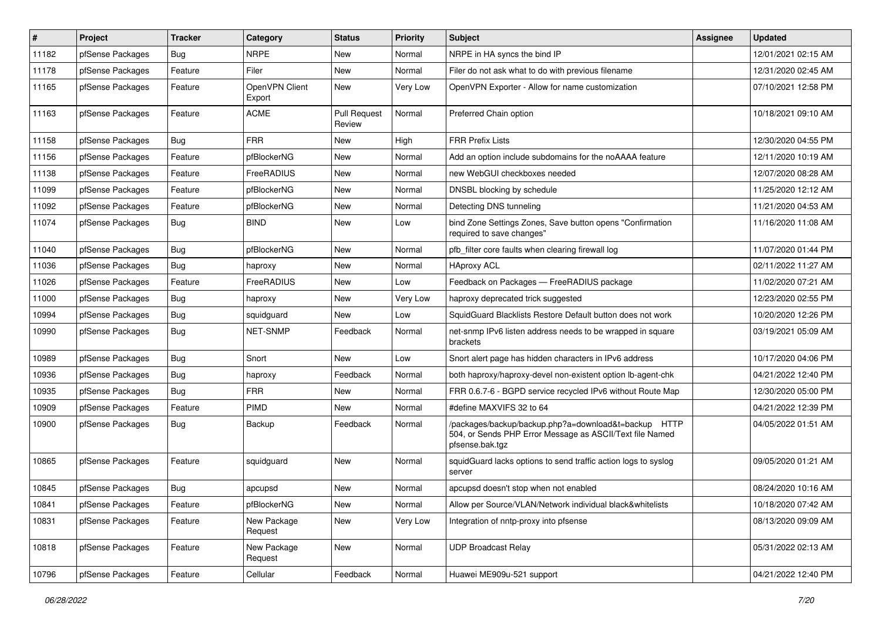| #     | Project          | <b>Tracker</b> | Category                 | <b>Status</b>                 | <b>Priority</b> | <b>Subject</b>                                                                                                                      | <b>Assignee</b> | <b>Updated</b>      |
|-------|------------------|----------------|--------------------------|-------------------------------|-----------------|-------------------------------------------------------------------------------------------------------------------------------------|-----------------|---------------------|
| 11182 | pfSense Packages | Bug            | <b>NRPE</b>              | New                           | Normal          | NRPE in HA syncs the bind IP                                                                                                        |                 | 12/01/2021 02:15 AM |
| 11178 | pfSense Packages | Feature        | Filer                    | <b>New</b>                    | Normal          | Filer do not ask what to do with previous filename                                                                                  |                 | 12/31/2020 02:45 AM |
| 11165 | pfSense Packages | Feature        | OpenVPN Client<br>Export | New                           | Very Low        | OpenVPN Exporter - Allow for name customization                                                                                     |                 | 07/10/2021 12:58 PM |
| 11163 | pfSense Packages | Feature        | <b>ACME</b>              | <b>Pull Request</b><br>Review | Normal          | Preferred Chain option                                                                                                              |                 | 10/18/2021 09:10 AM |
| 11158 | pfSense Packages | Bug            | <b>FRR</b>               | New                           | High            | <b>FRR Prefix Lists</b>                                                                                                             |                 | 12/30/2020 04:55 PM |
| 11156 | pfSense Packages | Feature        | pfBlockerNG              | New                           | Normal          | Add an option include subdomains for the noAAAA feature                                                                             |                 | 12/11/2020 10:19 AM |
| 11138 | pfSense Packages | Feature        | FreeRADIUS               | New                           | Normal          | new WebGUI checkboxes needed                                                                                                        |                 | 12/07/2020 08:28 AM |
| 11099 | pfSense Packages | Feature        | pfBlockerNG              | New                           | Normal          | DNSBL blocking by schedule                                                                                                          |                 | 11/25/2020 12:12 AM |
| 11092 | pfSense Packages | Feature        | pfBlockerNG              | New                           | Normal          | Detecting DNS tunneling                                                                                                             |                 | 11/21/2020 04:53 AM |
| 11074 | pfSense Packages | <b>Bug</b>     | <b>BIND</b>              | New                           | Low             | bind Zone Settings Zones, Save button opens "Confirmation<br>required to save changes"                                              |                 | 11/16/2020 11:08 AM |
| 11040 | pfSense Packages | Bug            | pfBlockerNG              | New                           | Normal          | pfb filter core faults when clearing firewall log                                                                                   |                 | 11/07/2020 01:44 PM |
| 11036 | pfSense Packages | Bug            | haproxy                  | New                           | Normal          | <b>HAproxy ACL</b>                                                                                                                  |                 | 02/11/2022 11:27 AM |
| 11026 | pfSense Packages | Feature        | FreeRADIUS               | New                           | Low             | Feedback on Packages - FreeRADIUS package                                                                                           |                 | 11/02/2020 07:21 AM |
| 11000 | pfSense Packages | Bug            | haproxy                  | New                           | Very Low        | haproxy deprecated trick suggested                                                                                                  |                 | 12/23/2020 02:55 PM |
| 10994 | pfSense Packages | Bug            | squidguard               | New                           | Low             | SquidGuard Blacklists Restore Default button does not work                                                                          |                 | 10/20/2020 12:26 PM |
| 10990 | pfSense Packages | <b>Bug</b>     | NET-SNMP                 | Feedback                      | Normal          | net-snmp IPv6 listen address needs to be wrapped in square<br>brackets                                                              |                 | 03/19/2021 05:09 AM |
| 10989 | pfSense Packages | Bug            | Snort                    | <b>New</b>                    | Low             | Snort alert page has hidden characters in IPv6 address                                                                              |                 | 10/17/2020 04:06 PM |
| 10936 | pfSense Packages | Bug            | haproxy                  | Feedback                      | Normal          | both haproxy/haproxy-devel non-existent option lb-agent-chk                                                                         |                 | 04/21/2022 12:40 PM |
| 10935 | pfSense Packages | Bug            | FRR                      | New                           | Normal          | FRR 0.6.7-6 - BGPD service recycled IPv6 without Route Map                                                                          |                 | 12/30/2020 05:00 PM |
| 10909 | pfSense Packages | Feature        | <b>PIMD</b>              | New                           | Normal          | #define MAXVIFS 32 to 64                                                                                                            |                 | 04/21/2022 12:39 PM |
| 10900 | pfSense Packages | Bug            | Backup                   | Feedback                      | Normal          | /packages/backup/backup.php?a=download&t=backup HTTP<br>504, or Sends PHP Error Message as ASCII/Text file Named<br>pfsense.bak.tgz |                 | 04/05/2022 01:51 AM |
| 10865 | pfSense Packages | Feature        | squidguard               | New                           | Normal          | squidGuard lacks options to send traffic action logs to syslog<br>server                                                            |                 | 09/05/2020 01:21 AM |
| 10845 | pfSense Packages | <b>Bug</b>     | apcupsd                  | New                           | Normal          | apcupsd doesn't stop when not enabled                                                                                               |                 | 08/24/2020 10:16 AM |
| 10841 | pfSense Packages | Feature        | pfBlockerNG              | New                           | Normal          | Allow per Source/VLAN/Network individual black&whitelists                                                                           |                 | 10/18/2020 07:42 AM |
| 10831 | pfSense Packages | Feature        | New Package<br>Request   | New                           | Very Low        | Integration of nntp-proxy into pfsense                                                                                              |                 | 08/13/2020 09:09 AM |
| 10818 | pfSense Packages | Feature        | New Package<br>Request   | New                           | Normal          | <b>UDP Broadcast Relay</b>                                                                                                          |                 | 05/31/2022 02:13 AM |
| 10796 | pfSense Packages | Feature        | Cellular                 | Feedback                      | Normal          | Huawei ME909u-521 support                                                                                                           |                 | 04/21/2022 12:40 PM |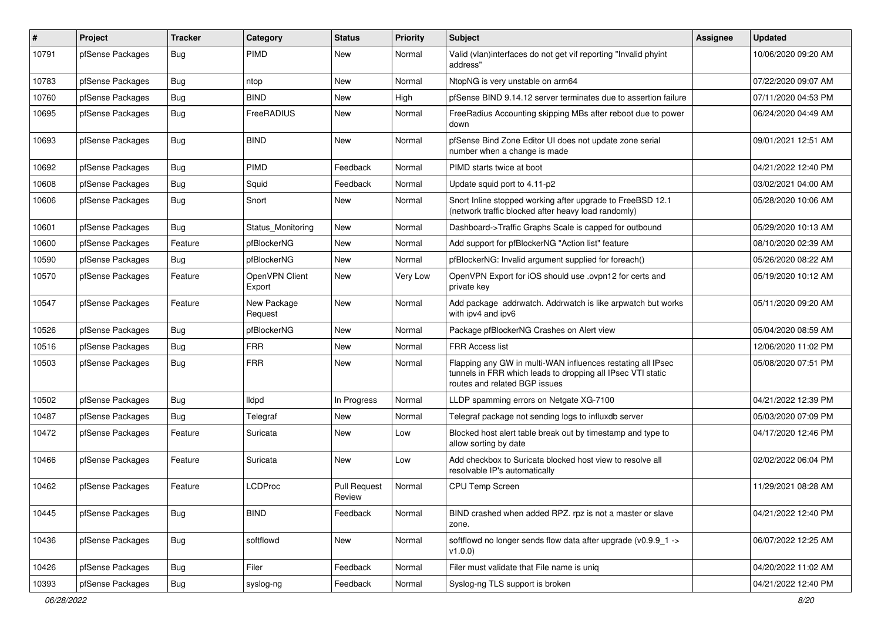| #     | Project          | <b>Tracker</b> | Category                 | <b>Status</b>                 | <b>Priority</b> | <b>Subject</b>                                                                                                                                              | <b>Assignee</b> | <b>Updated</b>      |
|-------|------------------|----------------|--------------------------|-------------------------------|-----------------|-------------------------------------------------------------------------------------------------------------------------------------------------------------|-----------------|---------------------|
| 10791 | pfSense Packages | Bug            | PIMD                     | New                           | Normal          | Valid (vlan)interfaces do not get vif reporting "Invalid phyint<br>address"                                                                                 |                 | 10/06/2020 09:20 AM |
| 10783 | pfSense Packages | Bug            | ntop                     | New                           | Normal          | NtopNG is very unstable on arm64                                                                                                                            |                 | 07/22/2020 09:07 AM |
| 10760 | pfSense Packages | Bug            | <b>BIND</b>              | New                           | High            | pfSense BIND 9.14.12 server terminates due to assertion failure                                                                                             |                 | 07/11/2020 04:53 PM |
| 10695 | pfSense Packages | Bug            | FreeRADIUS               | New                           | Normal          | FreeRadius Accounting skipping MBs after reboot due to power<br>down                                                                                        |                 | 06/24/2020 04:49 AM |
| 10693 | pfSense Packages | <b>Bug</b>     | <b>BIND</b>              | New                           | Normal          | pfSense Bind Zone Editor UI does not update zone serial<br>number when a change is made                                                                     |                 | 09/01/2021 12:51 AM |
| 10692 | pfSense Packages | Bug            | <b>PIMD</b>              | Feedback                      | Normal          | PIMD starts twice at boot                                                                                                                                   |                 | 04/21/2022 12:40 PM |
| 10608 | pfSense Packages | Bug            | Squid                    | Feedback                      | Normal          | Update squid port to 4.11-p2                                                                                                                                |                 | 03/02/2021 04:00 AM |
| 10606 | pfSense Packages | Bug            | Snort                    | New                           | Normal          | Snort Inline stopped working after upgrade to FreeBSD 12.1<br>(network traffic blocked after heavy load randomly)                                           |                 | 05/28/2020 10:06 AM |
| 10601 | pfSense Packages | Bug            | Status Monitoring        | New                           | Normal          | Dashboard->Traffic Graphs Scale is capped for outbound                                                                                                      |                 | 05/29/2020 10:13 AM |
| 10600 | pfSense Packages | Feature        | pfBlockerNG              | New                           | Normal          | Add support for pfBlockerNG "Action list" feature                                                                                                           |                 | 08/10/2020 02:39 AM |
| 10590 | pfSense Packages | Bug            | pfBlockerNG              | New                           | Normal          | pfBlockerNG: Invalid argument supplied for foreach()                                                                                                        |                 | 05/26/2020 08:22 AM |
| 10570 | pfSense Packages | Feature        | OpenVPN Client<br>Export | New                           | Very Low        | OpenVPN Export for iOS should use .ovpn12 for certs and<br>private key                                                                                      |                 | 05/19/2020 10:12 AM |
| 10547 | pfSense Packages | Feature        | New Package<br>Request   | New                           | Normal          | Add package addrwatch. Addrwatch is like arpwatch but works<br>with ipv4 and ipv6                                                                           |                 | 05/11/2020 09:20 AM |
| 10526 | pfSense Packages | Bug            | pfBlockerNG              | New                           | Normal          | Package pfBlockerNG Crashes on Alert view                                                                                                                   |                 | 05/04/2020 08:59 AM |
| 10516 | pfSense Packages | Bug            | <b>FRR</b>               | New                           | Normal          | FRR Access list                                                                                                                                             |                 | 12/06/2020 11:02 PM |
| 10503 | pfSense Packages | Bug            | <b>FRR</b>               | New                           | Normal          | Flapping any GW in multi-WAN influences restating all IPsec<br>tunnels in FRR which leads to dropping all IPsec VTI static<br>routes and related BGP issues |                 | 05/08/2020 07:51 PM |
| 10502 | pfSense Packages | Bug            | <b>Ildpd</b>             | In Progress                   | Normal          | LLDP spamming errors on Netgate XG-7100                                                                                                                     |                 | 04/21/2022 12:39 PM |
| 10487 | pfSense Packages | Bug            | Telegraf                 | New                           | Normal          | Telegraf package not sending logs to influxdb server                                                                                                        |                 | 05/03/2020 07:09 PM |
| 10472 | pfSense Packages | Feature        | Suricata                 | New                           | Low             | Blocked host alert table break out by timestamp and type to<br>allow sorting by date                                                                        |                 | 04/17/2020 12:46 PM |
| 10466 | pfSense Packages | Feature        | Suricata                 | New                           | Low             | Add checkbox to Suricata blocked host view to resolve all<br>resolvable IP's automatically                                                                  |                 | 02/02/2022 06:04 PM |
| 10462 | pfSense Packages | Feature        | <b>LCDProc</b>           | <b>Pull Request</b><br>Review | Normal          | CPU Temp Screen                                                                                                                                             |                 | 11/29/2021 08:28 AM |
| 10445 | pfSense Packages | Bug            | <b>BIND</b>              | Feedback                      | Normal          | BIND crashed when added RPZ. rpz is not a master or slave<br>zone.                                                                                          |                 | 04/21/2022 12:40 PM |
| 10436 | pfSense Packages | Bug            | softflowd                | New                           | Normal          | softflowd no longer sends flow data after upgrade (v0.9.9 1 -><br>V1.0.0)                                                                                   |                 | 06/07/2022 12:25 AM |
| 10426 | pfSense Packages | Bug            | Filer                    | Feedback                      | Normal          | Filer must validate that File name is uniq                                                                                                                  |                 | 04/20/2022 11:02 AM |
| 10393 | pfSense Packages | <b>Bug</b>     | syslog-ng                | Feedback                      | Normal          | Syslog-ng TLS support is broken                                                                                                                             |                 | 04/21/2022 12:40 PM |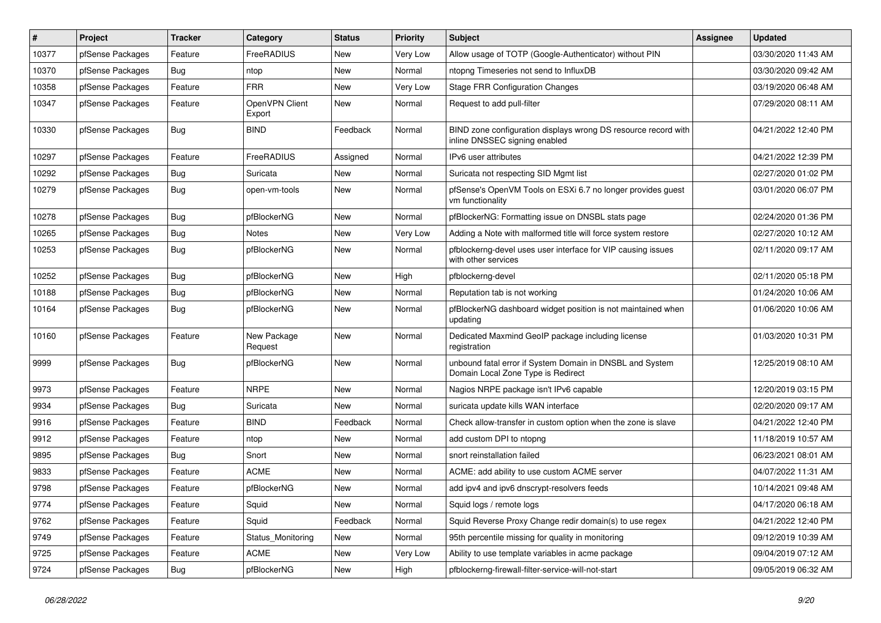| $\sharp$ | Project          | <b>Tracker</b> | Category                 | <b>Status</b> | <b>Priority</b> | Subject                                                                                         | <b>Assignee</b> | <b>Updated</b>      |
|----------|------------------|----------------|--------------------------|---------------|-----------------|-------------------------------------------------------------------------------------------------|-----------------|---------------------|
| 10377    | pfSense Packages | Feature        | FreeRADIUS               | New           | Very Low        | Allow usage of TOTP (Google-Authenticator) without PIN                                          |                 | 03/30/2020 11:43 AM |
| 10370    | pfSense Packages | <b>Bug</b>     | ntop                     | New           | Normal          | ntopng Timeseries not send to InfluxDB                                                          |                 | 03/30/2020 09:42 AM |
| 10358    | pfSense Packages | Feature        | <b>FRR</b>               | New           | Very Low        | <b>Stage FRR Configuration Changes</b>                                                          |                 | 03/19/2020 06:48 AM |
| 10347    | pfSense Packages | Feature        | OpenVPN Client<br>Export | New           | Normal          | Request to add pull-filter                                                                      |                 | 07/29/2020 08:11 AM |
| 10330    | pfSense Packages | <b>Bug</b>     | <b>BIND</b>              | Feedback      | Normal          | BIND zone configuration displays wrong DS resource record with<br>inline DNSSEC signing enabled |                 | 04/21/2022 12:40 PM |
| 10297    | pfSense Packages | Feature        | FreeRADIUS               | Assigned      | Normal          | IPv6 user attributes                                                                            |                 | 04/21/2022 12:39 PM |
| 10292    | pfSense Packages | <b>Bug</b>     | Suricata                 | New           | Normal          | Suricata not respecting SID Mgmt list                                                           |                 | 02/27/2020 01:02 PM |
| 10279    | pfSense Packages | <b>Bug</b>     | open-vm-tools            | New           | Normal          | pfSense's OpenVM Tools on ESXi 6.7 no longer provides guest<br>vm functionality                 |                 | 03/01/2020 06:07 PM |
| 10278    | pfSense Packages | Bug            | pfBlockerNG              | New           | Normal          | pfBlockerNG: Formatting issue on DNSBL stats page                                               |                 | 02/24/2020 01:36 PM |
| 10265    | pfSense Packages | Bug            | Notes                    | New           | Very Low        | Adding a Note with malformed title will force system restore                                    |                 | 02/27/2020 10:12 AM |
| 10253    | pfSense Packages | <b>Bug</b>     | pfBlockerNG              | New           | Normal          | pfblockerng-devel uses user interface for VIP causing issues<br>with other services             |                 | 02/11/2020 09:17 AM |
| 10252    | pfSense Packages | Bug            | pfBlockerNG              | New           | High            | pfblockerng-devel                                                                               |                 | 02/11/2020 05:18 PM |
| 10188    | pfSense Packages | Bug            | pfBlockerNG              | New           | Normal          | Reputation tab is not working                                                                   |                 | 01/24/2020 10:06 AM |
| 10164    | pfSense Packages | <b>Bug</b>     | pfBlockerNG              | New           | Normal          | pfBlockerNG dashboard widget position is not maintained when<br>updating                        |                 | 01/06/2020 10:06 AM |
| 10160    | pfSense Packages | Feature        | New Package<br>Request   | New           | Normal          | Dedicated Maxmind GeoIP package including license<br>registration                               |                 | 01/03/2020 10:31 PM |
| 9999     | pfSense Packages | Bug            | pfBlockerNG              | New           | Normal          | unbound fatal error if System Domain in DNSBL and System<br>Domain Local Zone Type is Redirect  |                 | 12/25/2019 08:10 AM |
| 9973     | pfSense Packages | Feature        | <b>NRPE</b>              | New           | Normal          | Nagios NRPE package isn't IPv6 capable                                                          |                 | 12/20/2019 03:15 PM |
| 9934     | pfSense Packages | Bug            | Suricata                 | New           | Normal          | suricata update kills WAN interface                                                             |                 | 02/20/2020 09:17 AM |
| 9916     | pfSense Packages | Feature        | <b>BIND</b>              | Feedback      | Normal          | Check allow-transfer in custom option when the zone is slave                                    |                 | 04/21/2022 12:40 PM |
| 9912     | pfSense Packages | Feature        | ntop                     | New           | Normal          | add custom DPI to ntopng                                                                        |                 | 11/18/2019 10:57 AM |
| 9895     | pfSense Packages | <b>Bug</b>     | Snort                    | New           | Normal          | snort reinstallation failed                                                                     |                 | 06/23/2021 08:01 AM |
| 9833     | pfSense Packages | Feature        | <b>ACME</b>              | New           | Normal          | ACME: add ability to use custom ACME server                                                     |                 | 04/07/2022 11:31 AM |
| 9798     | pfSense Packages | Feature        | pfBlockerNG              | New           | Normal          | add ipv4 and ipv6 dnscrypt-resolvers feeds                                                      |                 | 10/14/2021 09:48 AM |
| 9774     | pfSense Packages | Feature        | Squid                    | New           | Normal          | Squid logs / remote logs                                                                        |                 | 04/17/2020 06:18 AM |
| 9762     | pfSense Packages | Feature        | Squid                    | Feedback      | Normal          | Squid Reverse Proxy Change redir domain(s) to use regex                                         |                 | 04/21/2022 12:40 PM |
| 9749     | pfSense Packages | Feature        | Status_Monitoring        | New           | Normal          | 95th percentile missing for quality in monitoring                                               |                 | 09/12/2019 10:39 AM |
| 9725     | pfSense Packages | Feature        | ACME                     | New           | Very Low        | Ability to use template variables in acme package                                               |                 | 09/04/2019 07:12 AM |
| 9724     | pfSense Packages | <b>Bug</b>     | pfBlockerNG              | New           | High            | pfblockerng-firewall-filter-service-will-not-start                                              |                 | 09/05/2019 06:32 AM |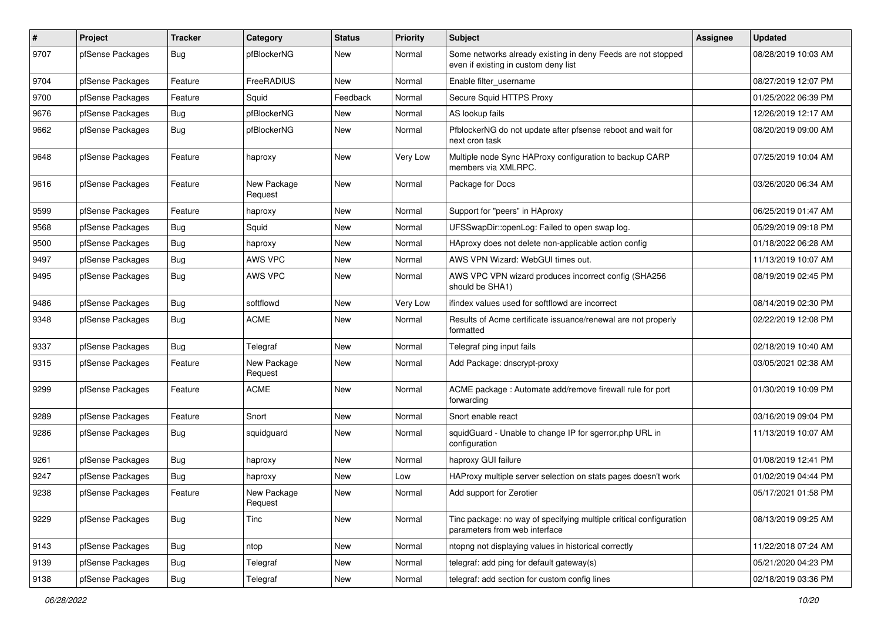| $\pmb{\#}$ | Project          | <b>Tracker</b> | Category               | <b>Status</b> | <b>Priority</b> | Subject                                                                                              | <b>Assignee</b> | <b>Updated</b>      |
|------------|------------------|----------------|------------------------|---------------|-----------------|------------------------------------------------------------------------------------------------------|-----------------|---------------------|
| 9707       | pfSense Packages | <b>Bug</b>     | pfBlockerNG            | New           | Normal          | Some networks already existing in deny Feeds are not stopped<br>even if existing in custom deny list |                 | 08/28/2019 10:03 AM |
| 9704       | pfSense Packages | Feature        | FreeRADIUS             | New           | Normal          | Enable filter_username                                                                               |                 | 08/27/2019 12:07 PM |
| 9700       | pfSense Packages | Feature        | Squid                  | Feedback      | Normal          | Secure Squid HTTPS Proxy                                                                             |                 | 01/25/2022 06:39 PM |
| 9676       | pfSense Packages | Bug            | pfBlockerNG            | New           | Normal          | AS lookup fails                                                                                      |                 | 12/26/2019 12:17 AM |
| 9662       | pfSense Packages | Bug            | pfBlockerNG            | New           | Normal          | PfblockerNG do not update after pfsense reboot and wait for<br>next cron task                        |                 | 08/20/2019 09:00 AM |
| 9648       | pfSense Packages | Feature        | haproxy                | New           | Very Low        | Multiple node Sync HAProxy configuration to backup CARP<br>members via XMLRPC.                       |                 | 07/25/2019 10:04 AM |
| 9616       | pfSense Packages | Feature        | New Package<br>Request | New           | Normal          | Package for Docs                                                                                     |                 | 03/26/2020 06:34 AM |
| 9599       | pfSense Packages | Feature        | haproxy                | New           | Normal          | Support for "peers" in HAproxy                                                                       |                 | 06/25/2019 01:47 AM |
| 9568       | pfSense Packages | Bug            | Squid                  | New           | Normal          | UFSSwapDir::openLog: Failed to open swap log.                                                        |                 | 05/29/2019 09:18 PM |
| 9500       | pfSense Packages | Bug            | haproxy                | New           | Normal          | HAproxy does not delete non-applicable action config                                                 |                 | 01/18/2022 06:28 AM |
| 9497       | pfSense Packages | <b>Bug</b>     | AWS VPC                | New           | Normal          | AWS VPN Wizard: WebGUI times out.                                                                    |                 | 11/13/2019 10:07 AM |
| 9495       | pfSense Packages | Bug            | AWS VPC                | New           | Normal          | AWS VPC VPN wizard produces incorrect config (SHA256<br>should be SHA1)                              |                 | 08/19/2019 02:45 PM |
| 9486       | pfSense Packages | <b>Bug</b>     | softflowd              | New           | Very Low        | ifindex values used for softflowd are incorrect                                                      |                 | 08/14/2019 02:30 PM |
| 9348       | pfSense Packages | <b>Bug</b>     | <b>ACME</b>            | New           | Normal          | Results of Acme certificate issuance/renewal are not properly<br>formatted                           |                 | 02/22/2019 12:08 PM |
| 9337       | pfSense Packages | Bug            | Telegraf               | New           | Normal          | Telegraf ping input fails                                                                            |                 | 02/18/2019 10:40 AM |
| 9315       | pfSense Packages | Feature        | New Package<br>Request | New           | Normal          | Add Package: dnscrypt-proxy                                                                          |                 | 03/05/2021 02:38 AM |
| 9299       | pfSense Packages | Feature        | <b>ACME</b>            | New           | Normal          | ACME package : Automate add/remove firewall rule for port<br>forwarding                              |                 | 01/30/2019 10:09 PM |
| 9289       | pfSense Packages | Feature        | Snort                  | New           | Normal          | Snort enable react                                                                                   |                 | 03/16/2019 09:04 PM |
| 9286       | pfSense Packages | <b>Bug</b>     | squidguard             | New           | Normal          | squidGuard - Unable to change IP for sgerror.php URL in<br>configuration                             |                 | 11/13/2019 10:07 AM |
| 9261       | pfSense Packages | Bug            | haproxy                | <b>New</b>    | Normal          | haproxy GUI failure                                                                                  |                 | 01/08/2019 12:41 PM |
| 9247       | pfSense Packages | <b>Bug</b>     | haproxy                | New           | Low             | HAProxy multiple server selection on stats pages doesn't work                                        |                 | 01/02/2019 04:44 PM |
| 9238       | pfSense Packages | Feature        | New Package<br>Request | New           | Normal          | Add support for Zerotier                                                                             |                 | 05/17/2021 01:58 PM |
| 9229       | pfSense Packages | Bug            | Tinc                   | New           | Normal          | Tinc package: no way of specifying multiple critical configuration<br>parameters from web interface  |                 | 08/13/2019 09:25 AM |
| 9143       | pfSense Packages | <b>Bug</b>     | ntop                   | New           | Normal          | ntopng not displaying values in historical correctly                                                 |                 | 11/22/2018 07:24 AM |
| 9139       | pfSense Packages | Bug            | Telegraf               | New           | Normal          | telegraf: add ping for default gateway(s)                                                            |                 | 05/21/2020 04:23 PM |
| 9138       | pfSense Packages | <b>Bug</b>     | Telegraf               | New           | Normal          | telegraf: add section for custom config lines                                                        |                 | 02/18/2019 03:36 PM |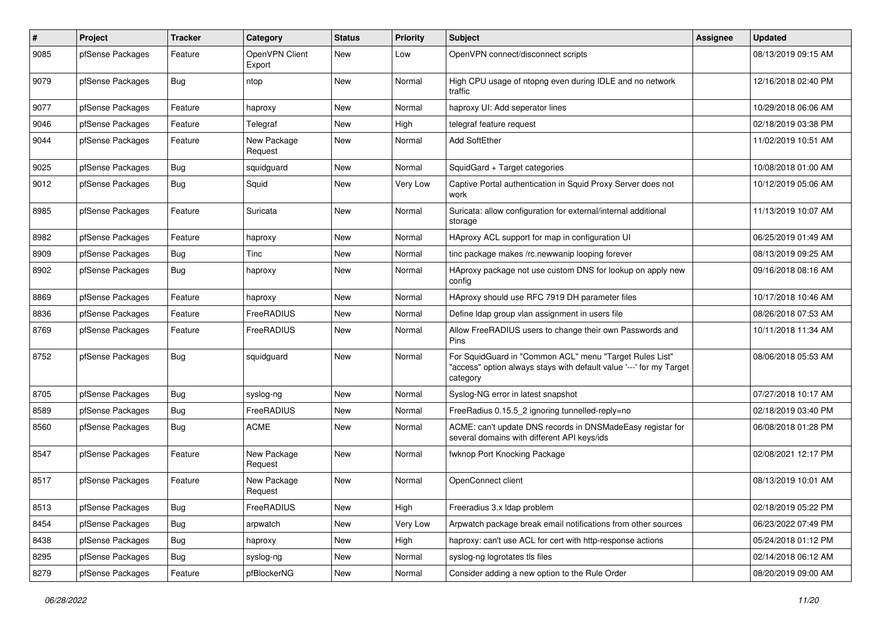| $\vert$ # | Project          | <b>Tracker</b> | Category                 | <b>Status</b> | <b>Priority</b> | Subject                                                                                                                                    | <b>Assignee</b> | <b>Updated</b>      |
|-----------|------------------|----------------|--------------------------|---------------|-----------------|--------------------------------------------------------------------------------------------------------------------------------------------|-----------------|---------------------|
| 9085      | pfSense Packages | Feature        | OpenVPN Client<br>Export | New           | Low             | OpenVPN connect/disconnect scripts                                                                                                         |                 | 08/13/2019 09:15 AM |
| 9079      | pfSense Packages | Bug            | ntop                     | New           | Normal          | High CPU usage of ntopng even during IDLE and no network<br>traffic                                                                        |                 | 12/16/2018 02:40 PM |
| 9077      | pfSense Packages | Feature        | haproxy                  | New           | Normal          | haproxy UI: Add seperator lines                                                                                                            |                 | 10/29/2018 06:06 AM |
| 9046      | pfSense Packages | Feature        | Telegraf                 | New           | High            | telegraf feature request                                                                                                                   |                 | 02/18/2019 03:38 PM |
| 9044      | pfSense Packages | Feature        | New Package<br>Request   | New           | Normal          | Add SoftEther                                                                                                                              |                 | 11/02/2019 10:51 AM |
| 9025      | pfSense Packages | <b>Bug</b>     | squidguard               | New           | Normal          | SquidGard + Target categories                                                                                                              |                 | 10/08/2018 01:00 AM |
| 9012      | pfSense Packages | <b>Bug</b>     | Squid                    | New           | Very Low        | Captive Portal authentication in Squid Proxy Server does not<br>work                                                                       |                 | 10/12/2019 05:06 AM |
| 8985      | pfSense Packages | Feature        | Suricata                 | New           | Normal          | Suricata: allow configuration for external/internal additional<br>storage                                                                  |                 | 11/13/2019 10:07 AM |
| 8982      | pfSense Packages | Feature        | haproxy                  | New           | Normal          | HAproxy ACL support for map in configuration UI                                                                                            |                 | 06/25/2019 01:49 AM |
| 8909      | pfSense Packages | Bug            | Tinc                     | New           | Normal          | tinc package makes /rc.newwanip looping forever                                                                                            |                 | 08/13/2019 09:25 AM |
| 8902      | pfSense Packages | <b>Bug</b>     | haproxy                  | New           | Normal          | HAproxy package not use custom DNS for lookup on apply new<br>config                                                                       |                 | 09/16/2018 08:16 AM |
| 8869      | pfSense Packages | Feature        | haproxy                  | New           | Normal          | HAproxy should use RFC 7919 DH parameter files                                                                                             |                 | 10/17/2018 10:46 AM |
| 8836      | pfSense Packages | Feature        | FreeRADIUS               | New           | Normal          | Define Idap group vlan assignment in users file                                                                                            |                 | 08/26/2018 07:53 AM |
| 8769      | pfSense Packages | Feature        | FreeRADIUS               | New           | Normal          | Allow FreeRADIUS users to change their own Passwords and<br>Pins                                                                           |                 | 10/11/2018 11:34 AM |
| 8752      | pfSense Packages | Bug            | squidguard               | New           | Normal          | For SquidGuard in "Common ACL" menu "Target Rules List"<br>"access" option always stays with default value '---' for my Target<br>category |                 | 08/06/2018 05:53 AM |
| 8705      | pfSense Packages | <b>Bug</b>     | syslog-ng                | New           | Normal          | Syslog-NG error in latest snapshot                                                                                                         |                 | 07/27/2018 10:17 AM |
| 8589      | pfSense Packages | <b>Bug</b>     | FreeRADIUS               | New           | Normal          | FreeRadius 0.15.5_2 ignoring tunnelled-reply=no                                                                                            |                 | 02/18/2019 03:40 PM |
| 8560      | pfSense Packages | <b>Bug</b>     | <b>ACME</b>              | New           | Normal          | ACME: can't update DNS records in DNSMadeEasy registar for<br>several domains with different API keys/ids                                  |                 | 06/08/2018 01:28 PM |
| 8547      | pfSense Packages | Feature        | New Package<br>Request   | New           | Normal          | fwknop Port Knocking Package                                                                                                               |                 | 02/08/2021 12:17 PM |
| 8517      | pfSense Packages | Feature        | New Package<br>Request   | New           | Normal          | OpenConnect client                                                                                                                         |                 | 08/13/2019 10:01 AM |
| 8513      | pfSense Packages | <b>Bug</b>     | FreeRADIUS               | New           | High            | Freeradius 3.x Idap problem                                                                                                                |                 | 02/18/2019 05:22 PM |
| 8454      | pfSense Packages | Bug            | arpwatch                 | New           | Very Low        | Arpwatch package break email notifications from other sources                                                                              |                 | 06/23/2022 07:49 PM |
| 8438      | pfSense Packages | <b>Bug</b>     | haproxy                  | New           | High            | haproxy: can't use ACL for cert with http-response actions                                                                                 |                 | 05/24/2018 01:12 PM |
| 8295      | pfSense Packages | Bug            | syslog-ng                | New           | Normal          | syslog-ng logrotates tls files                                                                                                             |                 | 02/14/2018 06:12 AM |
| 8279      | pfSense Packages | Feature        | pfBlockerNG              | New           | Normal          | Consider adding a new option to the Rule Order                                                                                             |                 | 08/20/2019 09:00 AM |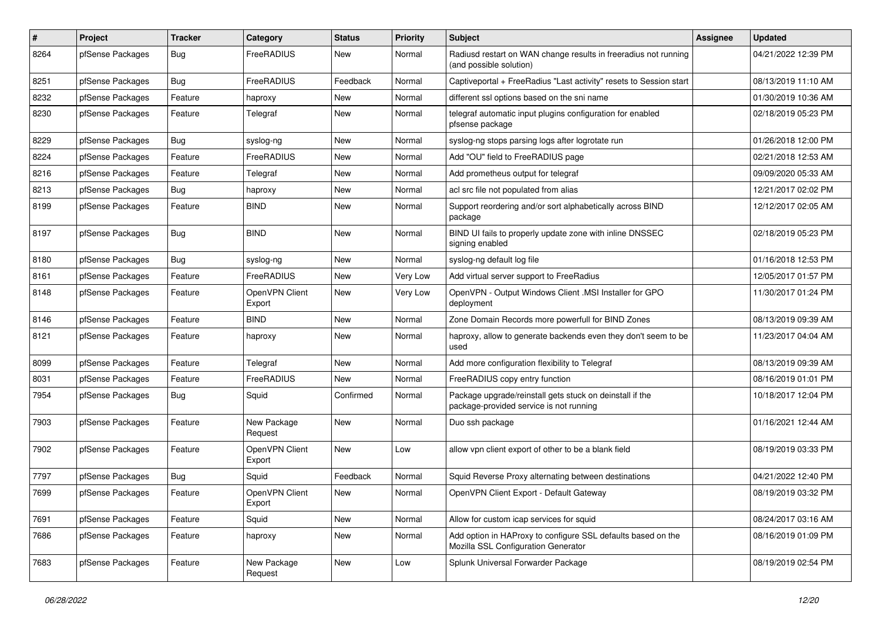| $\#$ | Project          | <b>Tracker</b> | Category                 | <b>Status</b> | <b>Priority</b> | Subject                                                                                             | <b>Assignee</b> | <b>Updated</b>      |
|------|------------------|----------------|--------------------------|---------------|-----------------|-----------------------------------------------------------------------------------------------------|-----------------|---------------------|
| 8264 | pfSense Packages | Bug            | FreeRADIUS               | New           | Normal          | Radiusd restart on WAN change results in freeradius not running<br>(and possible solution)          |                 | 04/21/2022 12:39 PM |
| 8251 | pfSense Packages | <b>Bug</b>     | FreeRADIUS               | Feedback      | Normal          | Captiveportal + FreeRadius "Last activity" resets to Session start                                  |                 | 08/13/2019 11:10 AM |
| 8232 | pfSense Packages | Feature        | haproxy                  | New           | Normal          | different ssl options based on the sni name                                                         |                 | 01/30/2019 10:36 AM |
| 8230 | pfSense Packages | Feature        | Telegraf                 | New           | Normal          | telegraf automatic input plugins configuration for enabled<br>pfsense package                       |                 | 02/18/2019 05:23 PM |
| 8229 | pfSense Packages | <b>Bug</b>     | syslog-ng                | New           | Normal          | syslog-ng stops parsing logs after logrotate run                                                    |                 | 01/26/2018 12:00 PM |
| 8224 | pfSense Packages | Feature        | FreeRADIUS               | New           | Normal          | Add "OU" field to FreeRADIUS page                                                                   |                 | 02/21/2018 12:53 AM |
| 8216 | pfSense Packages | Feature        | Telegraf                 | New           | Normal          | Add prometheus output for telegraf                                                                  |                 | 09/09/2020 05:33 AM |
| 8213 | pfSense Packages | Bug            | haproxy                  | New           | Normal          | acl src file not populated from alias                                                               |                 | 12/21/2017 02:02 PM |
| 8199 | pfSense Packages | Feature        | <b>BIND</b>              | New           | Normal          | Support reordering and/or sort alphabetically across BIND<br>package                                |                 | 12/12/2017 02:05 AM |
| 8197 | pfSense Packages | <b>Bug</b>     | <b>BIND</b>              | New           | Normal          | BIND UI fails to properly update zone with inline DNSSEC<br>signing enabled                         |                 | 02/18/2019 05:23 PM |
| 8180 | pfSense Packages | <b>Bug</b>     | syslog-ng                | New           | Normal          | syslog-ng default log file                                                                          |                 | 01/16/2018 12:53 PM |
| 8161 | pfSense Packages | Feature        | FreeRADIUS               | New           | Very Low        | Add virtual server support to FreeRadius                                                            |                 | 12/05/2017 01:57 PM |
| 8148 | pfSense Packages | Feature        | OpenVPN Client<br>Export | New           | Very Low        | OpenVPN - Output Windows Client .MSI Installer for GPO<br>deployment                                |                 | 11/30/2017 01:24 PM |
| 8146 | pfSense Packages | Feature        | <b>BIND</b>              | New           | Normal          | Zone Domain Records more powerfull for BIND Zones                                                   |                 | 08/13/2019 09:39 AM |
| 8121 | pfSense Packages | Feature        | haproxy                  | New           | Normal          | haproxy, allow to generate backends even they don't seem to be<br>used                              |                 | 11/23/2017 04:04 AM |
| 8099 | pfSense Packages | Feature        | Telegraf                 | New           | Normal          | Add more configuration flexibility to Telegraf                                                      |                 | 08/13/2019 09:39 AM |
| 8031 | pfSense Packages | Feature        | FreeRADIUS               | New           | Normal          | FreeRADIUS copy entry function                                                                      |                 | 08/16/2019 01:01 PM |
| 7954 | pfSense Packages | Bug            | Squid                    | Confirmed     | Normal          | Package upgrade/reinstall gets stuck on deinstall if the<br>package-provided service is not running |                 | 10/18/2017 12:04 PM |
| 7903 | pfSense Packages | Feature        | New Package<br>Request   | New           | Normal          | Duo ssh package                                                                                     |                 | 01/16/2021 12:44 AM |
| 7902 | pfSense Packages | Feature        | OpenVPN Client<br>Export | New           | Low             | allow vpn client export of other to be a blank field                                                |                 | 08/19/2019 03:33 PM |
| 7797 | pfSense Packages | <b>Bug</b>     | Squid                    | Feedback      | Normal          | Squid Reverse Proxy alternating between destinations                                                |                 | 04/21/2022 12:40 PM |
| 7699 | pfSense Packages | Feature        | OpenVPN Client<br>Export | New           | Normal          | OpenVPN Client Export - Default Gateway                                                             |                 | 08/19/2019 03:32 PM |
| 7691 | pfSense Packages | Feature        | Squid                    | New           | Normal          | Allow for custom icap services for squid                                                            |                 | 08/24/2017 03:16 AM |
| 7686 | pfSense Packages | Feature        | haproxy                  | New           | Normal          | Add option in HAProxy to configure SSL defaults based on the<br>Mozilla SSL Configuration Generator |                 | 08/16/2019 01:09 PM |
| 7683 | pfSense Packages | Feature        | New Package<br>Request   | New           | Low             | Splunk Universal Forwarder Package                                                                  |                 | 08/19/2019 02:54 PM |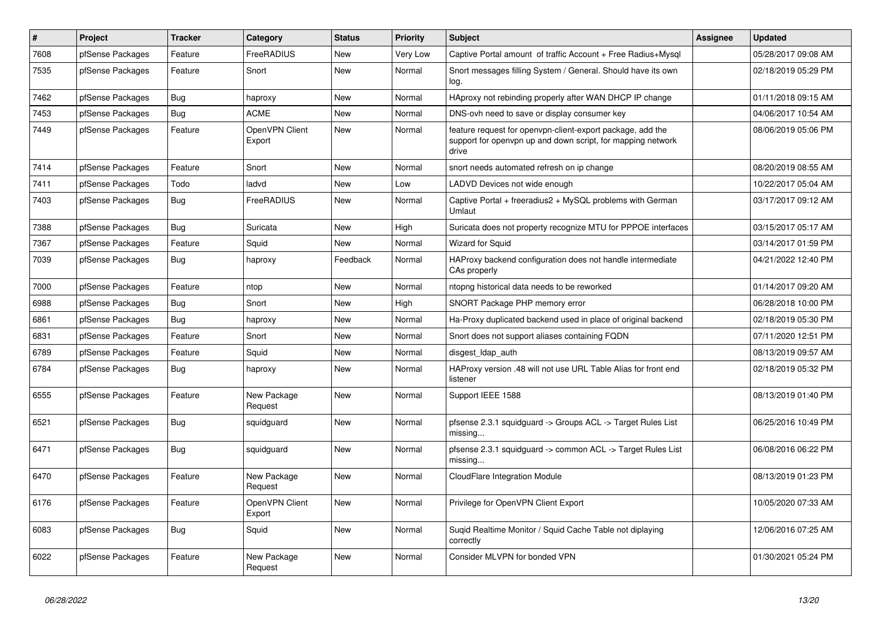| $\#$ | Project          | <b>Tracker</b> | Category                 | <b>Status</b> | <b>Priority</b> | <b>Subject</b>                                                                                                                     | <b>Assignee</b> | <b>Updated</b>      |
|------|------------------|----------------|--------------------------|---------------|-----------------|------------------------------------------------------------------------------------------------------------------------------------|-----------------|---------------------|
| 7608 | pfSense Packages | Feature        | FreeRADIUS               | <b>New</b>    | <b>Very Low</b> | Captive Portal amount of traffic Account + Free Radius+Mysql                                                                       |                 | 05/28/2017 09:08 AM |
| 7535 | pfSense Packages | Feature        | Snort                    | <b>New</b>    | Normal          | Snort messages filling System / General. Should have its own<br>log.                                                               |                 | 02/18/2019 05:29 PM |
| 7462 | pfSense Packages | Bug            | haproxy                  | New           | Normal          | HAproxy not rebinding properly after WAN DHCP IP change                                                                            |                 | 01/11/2018 09:15 AM |
| 7453 | pfSense Packages | Bug            | <b>ACME</b>              | <b>New</b>    | Normal          | DNS-ovh need to save or display consumer key                                                                                       |                 | 04/06/2017 10:54 AM |
| 7449 | pfSense Packages | Feature        | OpenVPN Client<br>Export | New           | Normal          | feature request for openvpn-client-export package, add the<br>support for openvpn up and down script, for mapping network<br>drive |                 | 08/06/2019 05:06 PM |
| 7414 | pfSense Packages | Feature        | Snort                    | <b>New</b>    | Normal          | snort needs automated refresh on ip change                                                                                         |                 | 08/20/2019 08:55 AM |
| 7411 | pfSense Packages | Todo           | ladvd                    | <b>New</b>    | Low             | LADVD Devices not wide enough                                                                                                      |                 | 10/22/2017 05:04 AM |
| 7403 | pfSense Packages | Bug            | FreeRADIUS               | <b>New</b>    | Normal          | Captive Portal + freeradius2 + MySQL problems with German<br>Umlaut                                                                |                 | 03/17/2017 09:12 AM |
| 7388 | pfSense Packages | Bug            | Suricata                 | New           | High            | Suricata does not property recognize MTU for PPPOE interfaces                                                                      |                 | 03/15/2017 05:17 AM |
| 7367 | pfSense Packages | Feature        | Squid                    | New           | Normal          | <b>Wizard for Squid</b>                                                                                                            |                 | 03/14/2017 01:59 PM |
| 7039 | pfSense Packages | Bug            | haproxy                  | Feedback      | Normal          | HAProxy backend configuration does not handle intermediate<br>CAs properly                                                         |                 | 04/21/2022 12:40 PM |
| 7000 | pfSense Packages | Feature        | ntop                     | <b>New</b>    | Normal          | ntopng historical data needs to be reworked                                                                                        |                 | 01/14/2017 09:20 AM |
| 6988 | pfSense Packages | <b>Bug</b>     | Snort                    | New           | High            | SNORT Package PHP memory error                                                                                                     |                 | 06/28/2018 10:00 PM |
| 6861 | pfSense Packages | <b>Bug</b>     | haproxy                  | <b>New</b>    | Normal          | Ha-Proxy duplicated backend used in place of original backend                                                                      |                 | 02/18/2019 05:30 PM |
| 6831 | pfSense Packages | Feature        | Snort                    | New           | Normal          | Snort does not support aliases containing FQDN                                                                                     |                 | 07/11/2020 12:51 PM |
| 6789 | pfSense Packages | Feature        | Squid                    | <b>New</b>    | Normal          | disgest_ldap_auth                                                                                                                  |                 | 08/13/2019 09:57 AM |
| 6784 | pfSense Packages | <b>Bug</b>     | haproxy                  | New           | Normal          | HAProxy version .48 will not use URL Table Alias for front end<br>listener                                                         |                 | 02/18/2019 05:32 PM |
| 6555 | pfSense Packages | Feature        | New Package<br>Request   | <b>New</b>    | Normal          | Support IEEE 1588                                                                                                                  |                 | 08/13/2019 01:40 PM |
| 6521 | pfSense Packages | <b>Bug</b>     | squidguard               | <b>New</b>    | Normal          | pfsense 2.3.1 squidguard -> Groups ACL -> Target Rules List<br>missing                                                             |                 | 06/25/2016 10:49 PM |
| 6471 | pfSense Packages | <b>Bug</b>     | squidguard               | New           | Normal          | pfsense 2.3.1 squidguard -> common ACL -> Target Rules List<br>missing                                                             |                 | 06/08/2016 06:22 PM |
| 6470 | pfSense Packages | Feature        | New Package<br>Request   | New           | Normal          | CloudFlare Integration Module                                                                                                      |                 | 08/13/2019 01:23 PM |
| 6176 | pfSense Packages | Feature        | OpenVPN Client<br>Export | <b>New</b>    | Normal          | Privilege for OpenVPN Client Export                                                                                                |                 | 10/05/2020 07:33 AM |
| 6083 | pfSense Packages | <b>Bug</b>     | Squid                    | <b>New</b>    | Normal          | Suqid Realtime Monitor / Squid Cache Table not diplaying<br>correctly                                                              |                 | 12/06/2016 07:25 AM |
| 6022 | pfSense Packages | Feature        | New Package<br>Request   | <b>New</b>    | Normal          | Consider MLVPN for bonded VPN                                                                                                      |                 | 01/30/2021 05:24 PM |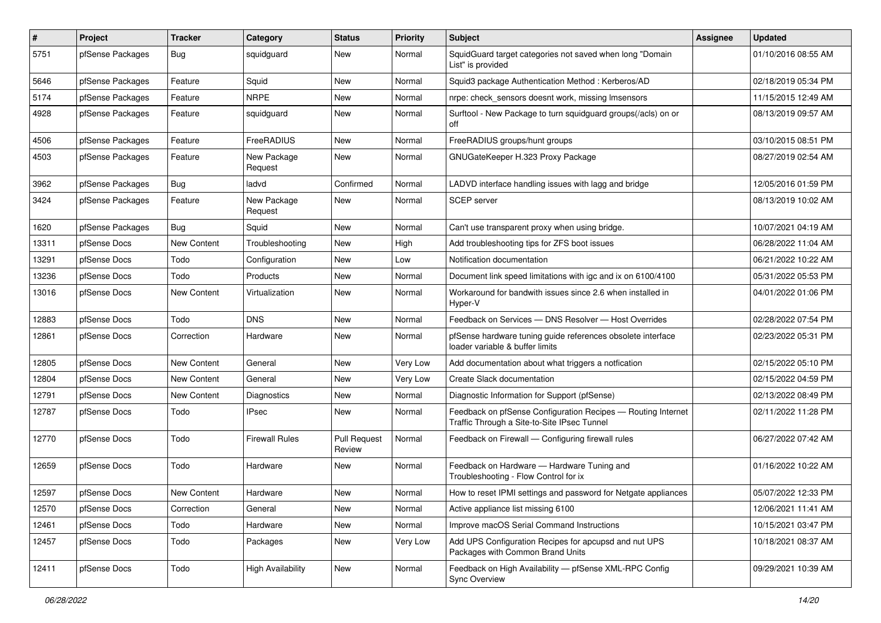| $\pmb{\#}$ | Project          | <b>Tracker</b> | Category                 | <b>Status</b>                 | <b>Priority</b> | <b>Subject</b>                                                                                              | <b>Assignee</b> | <b>Updated</b>      |
|------------|------------------|----------------|--------------------------|-------------------------------|-----------------|-------------------------------------------------------------------------------------------------------------|-----------------|---------------------|
| 5751       | pfSense Packages | Bug            | squidguard               | New                           | Normal          | SquidGuard target categories not saved when long "Domain<br>List" is provided                               |                 | 01/10/2016 08:55 AM |
| 5646       | pfSense Packages | Feature        | Squid                    | New                           | Normal          | Squid3 package Authentication Method: Kerberos/AD                                                           |                 | 02/18/2019 05:34 PM |
| 5174       | pfSense Packages | Feature        | <b>NRPE</b>              | New                           | Normal          | nrpe: check_sensors doesnt work, missing Imsensors                                                          |                 | 11/15/2015 12:49 AM |
| 4928       | pfSense Packages | Feature        | squidguard               | New                           | Normal          | Surftool - New Package to turn squidguard groups(/acls) on or<br>off                                        |                 | 08/13/2019 09:57 AM |
| 4506       | pfSense Packages | Feature        | FreeRADIUS               | New                           | Normal          | FreeRADIUS groups/hunt groups                                                                               |                 | 03/10/2015 08:51 PM |
| 4503       | pfSense Packages | Feature        | New Package<br>Request   | New                           | Normal          | GNUGateKeeper H.323 Proxy Package                                                                           |                 | 08/27/2019 02:54 AM |
| 3962       | pfSense Packages | Bug            | ladvd                    | Confirmed                     | Normal          | LADVD interface handling issues with lagg and bridge                                                        |                 | 12/05/2016 01:59 PM |
| 3424       | pfSense Packages | Feature        | New Package<br>Request   | New                           | Normal          | <b>SCEP</b> server                                                                                          |                 | 08/13/2019 10:02 AM |
| 1620       | pfSense Packages | Bug            | Squid                    | New                           | Normal          | Can't use transparent proxy when using bridge.                                                              |                 | 10/07/2021 04:19 AM |
| 13311      | pfSense Docs     | New Content    | Troubleshooting          | New                           | High            | Add troubleshooting tips for ZFS boot issues                                                                |                 | 06/28/2022 11:04 AM |
| 13291      | pfSense Docs     | Todo           | Configuration            | New                           | Low             | Notification documentation                                                                                  |                 | 06/21/2022 10:22 AM |
| 13236      | pfSense Docs     | Todo           | Products                 | New                           | Normal          | Document link speed limitations with igc and ix on 6100/4100                                                |                 | 05/31/2022 05:53 PM |
| 13016      | pfSense Docs     | New Content    | Virtualization           | New                           | Normal          | Workaround for bandwith issues since 2.6 when installed in<br>Hyper-V                                       |                 | 04/01/2022 01:06 PM |
| 12883      | pfSense Docs     | Todo           | <b>DNS</b>               | New                           | Normal          | Feedback on Services - DNS Resolver - Host Overrides                                                        |                 | 02/28/2022 07:54 PM |
| 12861      | pfSense Docs     | Correction     | Hardware                 | New                           | Normal          | pfSense hardware tuning guide references obsolete interface<br>loader variable & buffer limits              |                 | 02/23/2022 05:31 PM |
| 12805      | pfSense Docs     | New Content    | General                  | New                           | Very Low        | Add documentation about what triggers a notfication                                                         |                 | 02/15/2022 05:10 PM |
| 12804      | pfSense Docs     | New Content    | General                  | New                           | Very Low        | Create Slack documentation                                                                                  |                 | 02/15/2022 04:59 PM |
| 12791      | pfSense Docs     | New Content    | Diagnostics              | New                           | Normal          | Diagnostic Information for Support (pfSense)                                                                |                 | 02/13/2022 08:49 PM |
| 12787      | pfSense Docs     | Todo           | <b>IPsec</b>             | New                           | Normal          | Feedback on pfSense Configuration Recipes - Routing Internet<br>Traffic Through a Site-to-Site IPsec Tunnel |                 | 02/11/2022 11:28 PM |
| 12770      | pfSense Docs     | Todo           | <b>Firewall Rules</b>    | <b>Pull Request</b><br>Review | Normal          | Feedback on Firewall - Configuring firewall rules                                                           |                 | 06/27/2022 07:42 AM |
| 12659      | pfSense Docs     | Todo           | Hardware                 | New                           | Normal          | Feedback on Hardware - Hardware Tuning and<br>Troubleshooting - Flow Control for ix                         |                 | 01/16/2022 10:22 AM |
| 12597      | pfSense Docs     | New Content    | Hardware                 | New                           | Normal          | How to reset IPMI settings and password for Netgate appliances                                              |                 | 05/07/2022 12:33 PM |
| 12570      | pfSense Docs     | Correction     | General                  | New                           | Normal          | Active appliance list missing 6100                                                                          |                 | 12/06/2021 11:41 AM |
| 12461      | pfSense Docs     | Todo           | Hardware                 | New                           | Normal          | Improve macOS Serial Command Instructions                                                                   |                 | 10/15/2021 03:47 PM |
| 12457      | pfSense Docs     | Todo           | Packages                 | New                           | Very Low        | Add UPS Configuration Recipes for apcupsd and nut UPS<br>Packages with Common Brand Units                   |                 | 10/18/2021 08:37 AM |
| 12411      | pfSense Docs     | Todo           | <b>High Availability</b> | New                           | Normal          | Feedback on High Availability - pfSense XML-RPC Config<br><b>Sync Overview</b>                              |                 | 09/29/2021 10:39 AM |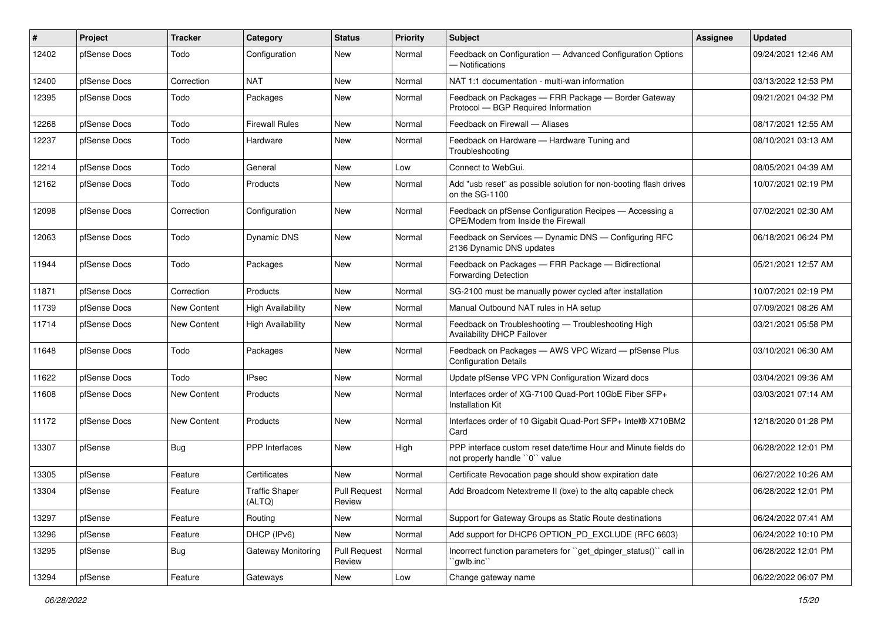| #     | <b>Project</b> | <b>Tracker</b> | Category                        | <b>Status</b>                 | <b>Priority</b> | <b>Subject</b>                                                                                  | <b>Assignee</b> | <b>Updated</b>      |
|-------|----------------|----------------|---------------------------------|-------------------------------|-----------------|-------------------------------------------------------------------------------------------------|-----------------|---------------------|
| 12402 | pfSense Docs   | Todo           | Configuration                   | New                           | Normal          | Feedback on Configuration - Advanced Configuration Options<br>- Notifications                   |                 | 09/24/2021 12:46 AM |
| 12400 | pfSense Docs   | Correction     | <b>NAT</b>                      | New                           | Normal          | NAT 1:1 documentation - multi-wan information                                                   |                 | 03/13/2022 12:53 PM |
| 12395 | pfSense Docs   | Todo           | Packages                        | New                           | Normal          | Feedback on Packages - FRR Package - Border Gateway<br>Protocol - BGP Required Information      |                 | 09/21/2021 04:32 PM |
| 12268 | pfSense Docs   | Todo           | Firewall Rules                  | New                           | Normal          | Feedback on Firewall - Aliases                                                                  |                 | 08/17/2021 12:55 AM |
| 12237 | pfSense Docs   | Todo           | Hardware                        | New                           | Normal          | Feedback on Hardware - Hardware Tuning and<br>Troubleshooting                                   |                 | 08/10/2021 03:13 AM |
| 12214 | pfSense Docs   | Todo           | General                         | New                           | Low             | Connect to WebGui.                                                                              |                 | 08/05/2021 04:39 AM |
| 12162 | pfSense Docs   | Todo           | Products                        | New                           | Normal          | Add "usb reset" as possible solution for non-booting flash drives<br>on the SG-1100             |                 | 10/07/2021 02:19 PM |
| 12098 | pfSense Docs   | Correction     | Configuration                   | New                           | Normal          | Feedback on pfSense Configuration Recipes - Accessing a<br>CPE/Modem from Inside the Firewall   |                 | 07/02/2021 02:30 AM |
| 12063 | pfSense Docs   | Todo           | Dynamic DNS                     | New                           | Normal          | Feedback on Services - Dynamic DNS - Configuring RFC<br>2136 Dynamic DNS updates                |                 | 06/18/2021 06:24 PM |
| 11944 | pfSense Docs   | Todo           | Packages                        | New                           | Normal          | Feedback on Packages - FRR Package - Bidirectional<br><b>Forwarding Detection</b>               |                 | 05/21/2021 12:57 AM |
| 11871 | pfSense Docs   | Correction     | Products                        | New                           | Normal          | SG-2100 must be manually power cycled after installation                                        |                 | 10/07/2021 02:19 PM |
| 11739 | pfSense Docs   | New Content    | <b>High Availability</b>        | New                           | Normal          | Manual Outbound NAT rules in HA setup                                                           |                 | 07/09/2021 08:26 AM |
| 11714 | pfSense Docs   | New Content    | <b>High Availability</b>        | New                           | Normal          | Feedback on Troubleshooting - Troubleshooting High<br>Availability DHCP Failover                |                 | 03/21/2021 05:58 PM |
| 11648 | pfSense Docs   | Todo           | Packages                        | New                           | Normal          | Feedback on Packages - AWS VPC Wizard - pfSense Plus<br><b>Configuration Details</b>            |                 | 03/10/2021 06:30 AM |
| 11622 | pfSense Docs   | Todo           | <b>IPsec</b>                    | New                           | Normal          | Update pfSense VPC VPN Configuration Wizard docs                                                |                 | 03/04/2021 09:36 AM |
| 11608 | pfSense Docs   | New Content    | Products                        | New                           | Normal          | Interfaces order of XG-7100 Quad-Port 10GbE Fiber SFP+<br><b>Installation Kit</b>               |                 | 03/03/2021 07:14 AM |
| 11172 | pfSense Docs   | New Content    | Products                        | New                           | Normal          | Interfaces order of 10 Gigabit Quad-Port SFP+ Intel® X710BM2<br>Card                            |                 | 12/18/2020 01:28 PM |
| 13307 | pfSense        | Bug            | <b>PPP</b> Interfaces           | New                           | High            | PPP interface custom reset date/time Hour and Minute fields do<br>not properly handle "0" value |                 | 06/28/2022 12:01 PM |
| 13305 | pfSense        | Feature        | Certificates                    | New                           | Normal          | Certificate Revocation page should show expiration date                                         |                 | 06/27/2022 10:26 AM |
| 13304 | pfSense        | Feature        | <b>Traffic Shaper</b><br>(ALTQ) | <b>Pull Request</b><br>Review | Normal          | Add Broadcom Netextreme II (bxe) to the altg capable check                                      |                 | 06/28/2022 12:01 PM |
| 13297 | pfSense        | Feature        | Routing                         | New                           | Normal          | Support for Gateway Groups as Static Route destinations                                         |                 | 06/24/2022 07:41 AM |
| 13296 | pfSense        | Feature        | DHCP (IPv6)                     | New                           | Normal          | Add support for DHCP6 OPTION_PD_EXCLUDE (RFC 6603)                                              |                 | 06/24/2022 10:10 PM |
| 13295 | pfSense        | <b>Bug</b>     | Gateway Monitoring              | <b>Pull Request</b><br>Review | Normal          | Incorrect function parameters for "get_dpinger_status()" call in<br>`gwlb.inc``                 |                 | 06/28/2022 12:01 PM |
| 13294 | pfSense        | Feature        | Gateways                        | New                           | Low             | Change gateway name                                                                             |                 | 06/22/2022 06:07 PM |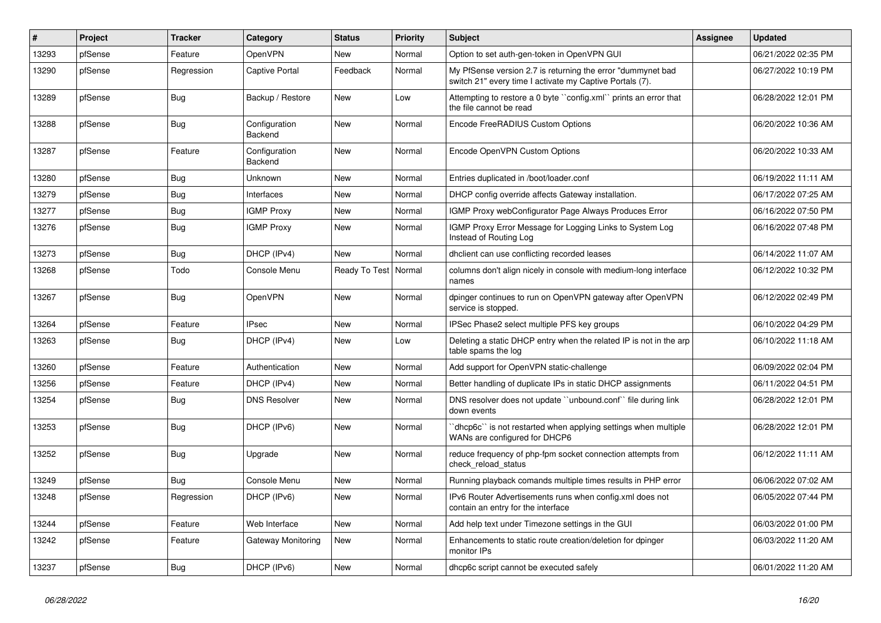| $\vert$ # | Project | <b>Tracker</b> | Category                 | <b>Status</b>          | Priority | <b>Subject</b>                                                                                                          | <b>Assignee</b> | <b>Updated</b>      |
|-----------|---------|----------------|--------------------------|------------------------|----------|-------------------------------------------------------------------------------------------------------------------------|-----------------|---------------------|
| 13293     | pfSense | Feature        | <b>OpenVPN</b>           | New                    | Normal   | Option to set auth-gen-token in OpenVPN GUI                                                                             |                 | 06/21/2022 02:35 PM |
| 13290     | pfSense | Regression     | Captive Portal           | Feedback               | Normal   | My PfSense version 2.7 is returning the error "dummynet bad<br>switch 21" every time I activate my Captive Portals (7). |                 | 06/27/2022 10:19 PM |
| 13289     | pfSense | <b>Bug</b>     | Backup / Restore         | New                    | Low      | Attempting to restore a 0 byte "config.xml" prints an error that<br>the file cannot be read                             |                 | 06/28/2022 12:01 PM |
| 13288     | pfSense | Bug            | Configuration<br>Backend | New                    | Normal   | Encode FreeRADIUS Custom Options                                                                                        |                 | 06/20/2022 10:36 AM |
| 13287     | pfSense | Feature        | Configuration<br>Backend | New                    | Normal   | Encode OpenVPN Custom Options                                                                                           |                 | 06/20/2022 10:33 AM |
| 13280     | pfSense | <b>Bug</b>     | Unknown                  | New                    | Normal   | Entries duplicated in /boot/loader.conf                                                                                 |                 | 06/19/2022 11:11 AM |
| 13279     | pfSense | Bug            | Interfaces               | New                    | Normal   | DHCP config override affects Gateway installation.                                                                      |                 | 06/17/2022 07:25 AM |
| 13277     | pfSense | Bug            | <b>IGMP Proxy</b>        | New                    | Normal   | IGMP Proxy webConfigurator Page Always Produces Error                                                                   |                 | 06/16/2022 07:50 PM |
| 13276     | pfSense | Bug            | <b>IGMP Proxy</b>        | New                    | Normal   | IGMP Proxy Error Message for Logging Links to System Log<br>Instead of Routing Log                                      |                 | 06/16/2022 07:48 PM |
| 13273     | pfSense | Bug            | DHCP (IPv4)              | <b>New</b>             | Normal   | dhclient can use conflicting recorded leases                                                                            |                 | 06/14/2022 11:07 AM |
| 13268     | pfSense | Todo           | Console Menu             | Ready To Test   Normal |          | columns don't align nicely in console with medium-long interface<br>names                                               |                 | 06/12/2022 10:32 PM |
| 13267     | pfSense | <b>Bug</b>     | <b>OpenVPN</b>           | New                    | Normal   | dpinger continues to run on OpenVPN gateway after OpenVPN<br>service is stopped.                                        |                 | 06/12/2022 02:49 PM |
| 13264     | pfSense | Feature        | <b>IPsec</b>             | New                    | Normal   | IPSec Phase2 select multiple PFS key groups                                                                             |                 | 06/10/2022 04:29 PM |
| 13263     | pfSense | Bug            | DHCP (IPv4)              | New                    | Low      | Deleting a static DHCP entry when the related IP is not in the arp<br>table spams the log                               |                 | 06/10/2022 11:18 AM |
| 13260     | pfSense | Feature        | Authentication           | New                    | Normal   | Add support for OpenVPN static-challenge                                                                                |                 | 06/09/2022 02:04 PM |
| 13256     | pfSense | Feature        | DHCP (IPv4)              | <b>New</b>             | Normal   | Better handling of duplicate IPs in static DHCP assignments                                                             |                 | 06/11/2022 04:51 PM |
| 13254     | pfSense | <b>Bug</b>     | <b>DNS Resolver</b>      | New                    | Normal   | DNS resolver does not update "unbound.conf" file during link<br>down events                                             |                 | 06/28/2022 12:01 PM |
| 13253     | pfSense | <b>Bug</b>     | DHCP (IPv6)              | New                    | Normal   | dhcp6c" is not restarted when applying settings when multiple<br>WANs are configured for DHCP6                          |                 | 06/28/2022 12:01 PM |
| 13252     | pfSense | Bug            | Upgrade                  | New                    | Normal   | reduce frequency of php-fpm socket connection attempts from<br>check_reload_status                                      |                 | 06/12/2022 11:11 AM |
| 13249     | pfSense | Bug            | Console Menu             | New                    | Normal   | Running playback comands multiple times results in PHP error                                                            |                 | 06/06/2022 07:02 AM |
| 13248     | pfSense | Regression     | DHCP (IPv6)              | New                    | Normal   | IPv6 Router Advertisements runs when config.xml does not<br>contain an entry for the interface                          |                 | 06/05/2022 07:44 PM |
| 13244     | pfSense | Feature        | Web Interface            | New                    | Normal   | Add help text under Timezone settings in the GUI                                                                        |                 | 06/03/2022 01:00 PM |
| 13242     | pfSense | Feature        | Gateway Monitoring       | New                    | Normal   | Enhancements to static route creation/deletion for dpinger<br>monitor IPs                                               |                 | 06/03/2022 11:20 AM |
| 13237     | pfSense | Bug            | DHCP (IPv6)              | New                    | Normal   | dhcp6c script cannot be executed safely                                                                                 |                 | 06/01/2022 11:20 AM |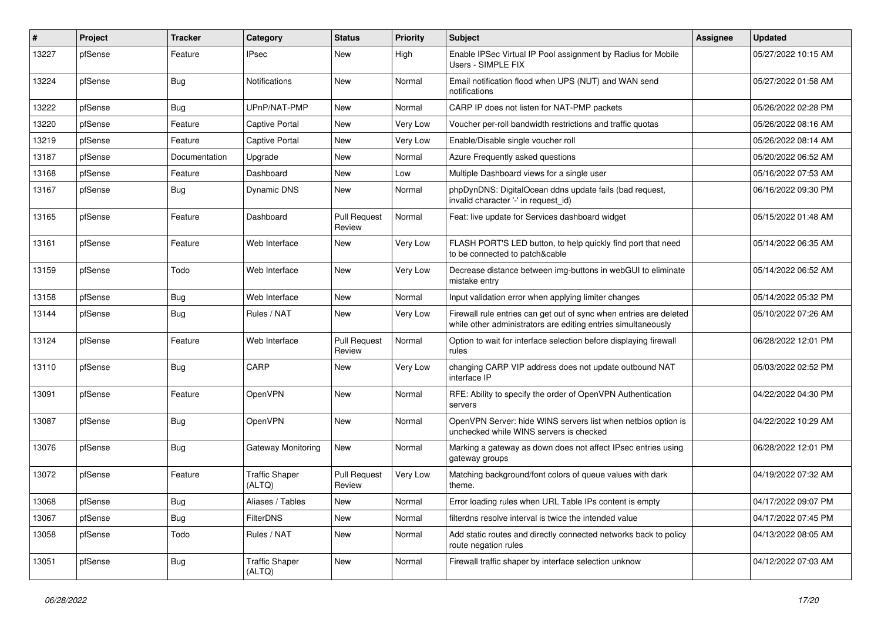| #     | Project | <b>Tracker</b> | Category                        | <b>Status</b>                 | <b>Priority</b> | <b>Subject</b>                                                                                                                      | <b>Assignee</b> | <b>Updated</b>      |
|-------|---------|----------------|---------------------------------|-------------------------------|-----------------|-------------------------------------------------------------------------------------------------------------------------------------|-----------------|---------------------|
| 13227 | pfSense | Feature        | IPsec                           | New                           | High            | Enable IPSec Virtual IP Pool assignment by Radius for Mobile<br>Users - SIMPLE FIX                                                  |                 | 05/27/2022 10:15 AM |
| 13224 | pfSense | Bug            | Notifications                   | New                           | Normal          | Email notification flood when UPS (NUT) and WAN send<br>notifications                                                               |                 | 05/27/2022 01:58 AM |
| 13222 | pfSense | Bug            | UPnP/NAT-PMP                    | New                           | Normal          | CARP IP does not listen for NAT-PMP packets                                                                                         |                 | 05/26/2022 02:28 PM |
| 13220 | pfSense | Feature        | Captive Portal                  | New                           | Very Low        | Voucher per-roll bandwidth restrictions and traffic quotas                                                                          |                 | 05/26/2022 08:16 AM |
| 13219 | pfSense | Feature        | <b>Captive Portal</b>           | New                           | <b>Very Low</b> | Enable/Disable single voucher roll                                                                                                  |                 | 05/26/2022 08:14 AM |
| 13187 | pfSense | Documentation  | Upgrade                         | New                           | Normal          | Azure Frequently asked questions                                                                                                    |                 | 05/20/2022 06:52 AM |
| 13168 | pfSense | Feature        | Dashboard                       | New                           | Low             | Multiple Dashboard views for a single user                                                                                          |                 | 05/16/2022 07:53 AM |
| 13167 | pfSense | <b>Bug</b>     | Dynamic DNS                     | New                           | Normal          | phpDynDNS: DigitalOcean ddns update fails (bad request,<br>invalid character '-' in request_id)                                     |                 | 06/16/2022 09:30 PM |
| 13165 | pfSense | Feature        | Dashboard                       | <b>Pull Request</b><br>Review | Normal          | Feat: live update for Services dashboard widget                                                                                     |                 | 05/15/2022 01:48 AM |
| 13161 | pfSense | Feature        | Web Interface                   | New                           | Very Low        | FLASH PORT'S LED button, to help quickly find port that need<br>to be connected to patch&cable                                      |                 | 05/14/2022 06:35 AM |
| 13159 | pfSense | Todo           | Web Interface                   | New                           | <b>Very Low</b> | Decrease distance between img-buttons in webGUI to eliminate<br>mistake entry                                                       |                 | 05/14/2022 06:52 AM |
| 13158 | pfSense | Bug            | Web Interface                   | New                           | Normal          | Input validation error when applying limiter changes                                                                                |                 | 05/14/2022 05:32 PM |
| 13144 | pfSense | Bug            | Rules / NAT                     | New                           | <b>Very Low</b> | Firewall rule entries can get out of sync when entries are deleted<br>while other administrators are editing entries simultaneously |                 | 05/10/2022 07:26 AM |
| 13124 | pfSense | Feature        | Web Interface                   | <b>Pull Request</b><br>Review | Normal          | Option to wait for interface selection before displaying firewall<br>rules                                                          |                 | 06/28/2022 12:01 PM |
| 13110 | pfSense | Bug            | CARP                            | New                           | <b>Very Low</b> | changing CARP VIP address does not update outbound NAT<br>interface IP                                                              |                 | 05/03/2022 02:52 PM |
| 13091 | pfSense | Feature        | OpenVPN                         | New                           | Normal          | RFE: Ability to specify the order of OpenVPN Authentication<br>servers                                                              |                 | 04/22/2022 04:30 PM |
| 13087 | pfSense | Bug            | OpenVPN                         | New                           | Normal          | OpenVPN Server: hide WINS servers list when netbios option is<br>unchecked while WINS servers is checked                            |                 | 04/22/2022 10:29 AM |
| 13076 | pfSense | <b>Bug</b>     | <b>Gateway Monitoring</b>       | New                           | Normal          | Marking a gateway as down does not affect IPsec entries using<br>gateway groups                                                     |                 | 06/28/2022 12:01 PM |
| 13072 | pfSense | Feature        | <b>Traffic Shaper</b><br>(ALTQ) | <b>Pull Request</b><br>Review | Very Low        | Matching background/font colors of queue values with dark<br>theme.                                                                 |                 | 04/19/2022 07:32 AM |
| 13068 | pfSense | Bug            | Aliases / Tables                | New                           | Normal          | Error loading rules when URL Table IPs content is empty                                                                             |                 | 04/17/2022 09:07 PM |
| 13067 | pfSense | Bug            | <b>FilterDNS</b>                | New                           | Normal          | filterdns resolve interval is twice the intended value                                                                              |                 | 04/17/2022 07:45 PM |
| 13058 | pfSense | Todo           | Rules / NAT                     | New                           | Normal          | Add static routes and directly connected networks back to policy<br>route negation rules                                            |                 | 04/13/2022 08:05 AM |
| 13051 | pfSense | Bug            | <b>Traffic Shaper</b><br>(ALTQ) | New                           | Normal          | Firewall traffic shaper by interface selection unknow                                                                               |                 | 04/12/2022 07:03 AM |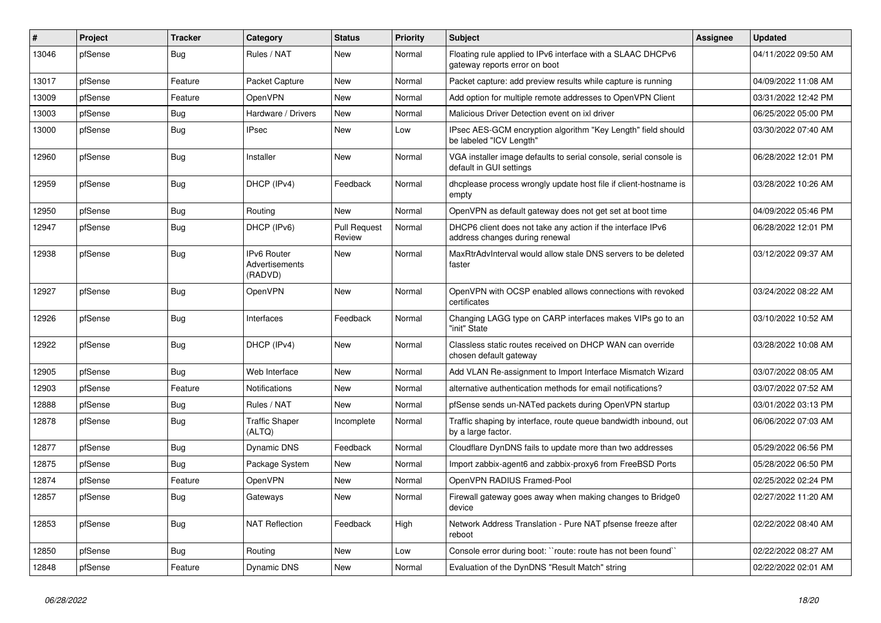| $\vert$ # | Project | <b>Tracker</b> | Category                                 | <b>Status</b>                 | <b>Priority</b> | <b>Subject</b>                                                                                | <b>Assignee</b> | <b>Updated</b>      |
|-----------|---------|----------------|------------------------------------------|-------------------------------|-----------------|-----------------------------------------------------------------------------------------------|-----------------|---------------------|
| 13046     | pfSense | Bug            | Rules / NAT                              | <b>New</b>                    | Normal          | Floating rule applied to IPv6 interface with a SLAAC DHCPv6<br>gateway reports error on boot  |                 | 04/11/2022 09:50 AM |
| 13017     | pfSense | Feature        | Packet Capture                           | New                           | Normal          | Packet capture: add preview results while capture is running                                  |                 | 04/09/2022 11:08 AM |
| 13009     | pfSense | Feature        | <b>OpenVPN</b>                           | New                           | Normal          | Add option for multiple remote addresses to OpenVPN Client                                    |                 | 03/31/2022 12:42 PM |
| 13003     | pfSense | Bug            | Hardware / Drivers                       | New                           | Normal          | Malicious Driver Detection event on ixl driver                                                |                 | 06/25/2022 05:00 PM |
| 13000     | pfSense | Bug            | <b>IPsec</b>                             | New                           | Low             | IPsec AES-GCM encryption algorithm "Key Length" field should<br>be labeled "ICV Length"       |                 | 03/30/2022 07:40 AM |
| 12960     | pfSense | <b>Bug</b>     | Installer                                | New                           | Normal          | VGA installer image defaults to serial console, serial console is<br>default in GUI settings  |                 | 06/28/2022 12:01 PM |
| 12959     | pfSense | <b>Bug</b>     | DHCP (IPv4)                              | Feedback                      | Normal          | dhoplease process wrongly update host file if client-hostname is<br>empty                     |                 | 03/28/2022 10:26 AM |
| 12950     | pfSense | Bug            | Routing                                  | New                           | Normal          | OpenVPN as default gateway does not get set at boot time                                      |                 | 04/09/2022 05:46 PM |
| 12947     | pfSense | Bug            | DHCP (IPv6)                              | <b>Pull Request</b><br>Review | Normal          | DHCP6 client does not take any action if the interface IPv6<br>address changes during renewal |                 | 06/28/2022 12:01 PM |
| 12938     | pfSense | <b>Bug</b>     | IPv6 Router<br>Advertisements<br>(RADVD) | <b>New</b>                    | Normal          | MaxRtrAdvInterval would allow stale DNS servers to be deleted<br>faster                       |                 | 03/12/2022 09:37 AM |
| 12927     | pfSense | Bug            | OpenVPN                                  | New                           | Normal          | OpenVPN with OCSP enabled allows connections with revoked<br>certificates                     |                 | 03/24/2022 08:22 AM |
| 12926     | pfSense | Bug            | Interfaces                               | Feedback                      | Normal          | Changing LAGG type on CARP interfaces makes VIPs go to an<br>"init" State                     |                 | 03/10/2022 10:52 AM |
| 12922     | pfSense | <b>Bug</b>     | DHCP (IPv4)                              | <b>New</b>                    | Normal          | Classless static routes received on DHCP WAN can override<br>chosen default gateway           |                 | 03/28/2022 10:08 AM |
| 12905     | pfSense | Bug            | Web Interface                            | New                           | Normal          | Add VLAN Re-assignment to Import Interface Mismatch Wizard                                    |                 | 03/07/2022 08:05 AM |
| 12903     | pfSense | Feature        | Notifications                            | New                           | Normal          | alternative authentication methods for email notifications?                                   |                 | 03/07/2022 07:52 AM |
| 12888     | pfSense | Bug            | Rules / NAT                              | New                           | Normal          | pfSense sends un-NATed packets during OpenVPN startup                                         |                 | 03/01/2022 03:13 PM |
| 12878     | pfSense | Bug            | <b>Traffic Shaper</b><br>(ALTQ)          | Incomplete                    | Normal          | Traffic shaping by interface, route queue bandwidth inbound, out<br>by a large factor.        |                 | 06/06/2022 07:03 AM |
| 12877     | pfSense | Bug            | Dynamic DNS                              | Feedback                      | Normal          | Cloudflare DynDNS fails to update more than two addresses                                     |                 | 05/29/2022 06:56 PM |
| 12875     | pfSense | <b>Bug</b>     | Package System                           | New                           | Normal          | Import zabbix-agent6 and zabbix-proxy6 from FreeBSD Ports                                     |                 | 05/28/2022 06:50 PM |
| 12874     | pfSense | Feature        | <b>OpenVPN</b>                           | <b>New</b>                    | Normal          | OpenVPN RADIUS Framed-Pool                                                                    |                 | 02/25/2022 02:24 PM |
| 12857     | pfSense | <b>Bug</b>     | Gateways                                 | New                           | Normal          | Firewall gateway goes away when making changes to Bridge0<br>device                           |                 | 02/27/2022 11:20 AM |
| 12853     | pfSense | <b>Bug</b>     | <b>NAT Reflection</b>                    | Feedback                      | High            | Network Address Translation - Pure NAT pfsense freeze after<br>reboot                         |                 | 02/22/2022 08:40 AM |
| 12850     | pfSense | Bug            | Routing                                  | New                           | Low             | Console error during boot: "route: route has not been found"                                  |                 | 02/22/2022 08:27 AM |
| 12848     | pfSense | Feature        | Dynamic DNS                              | New                           | Normal          | Evaluation of the DynDNS "Result Match" string                                                |                 | 02/22/2022 02:01 AM |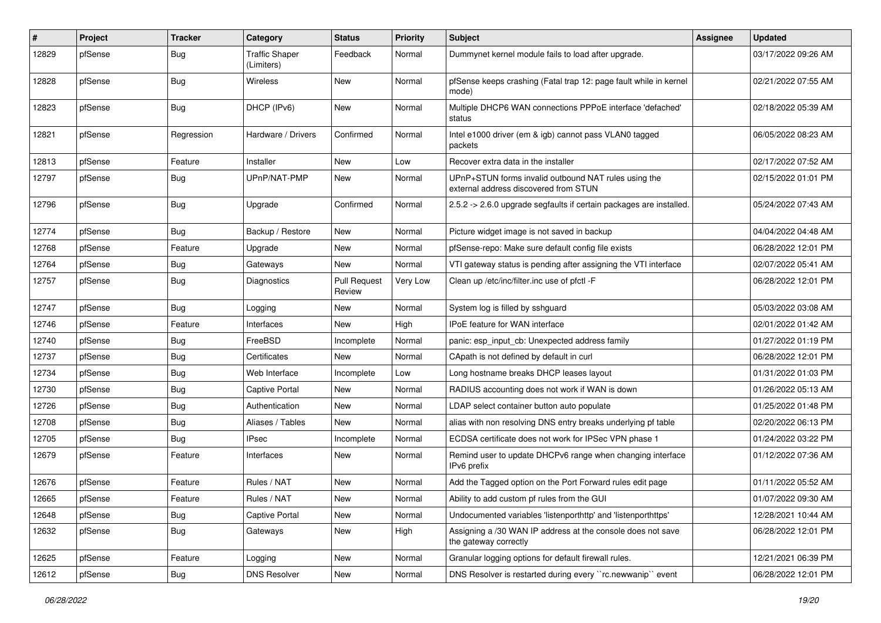| #     | Project | <b>Tracker</b> | Category                            | <b>Status</b>                 | <b>Priority</b> | <b>Subject</b>                                                                                | <b>Assignee</b> | <b>Updated</b>      |
|-------|---------|----------------|-------------------------------------|-------------------------------|-----------------|-----------------------------------------------------------------------------------------------|-----------------|---------------------|
| 12829 | pfSense | Bug            | <b>Traffic Shaper</b><br>(Limiters) | Feedback                      | Normal          | Dummynet kernel module fails to load after upgrade.                                           |                 | 03/17/2022 09:26 AM |
| 12828 | pfSense | <b>Bug</b>     | Wireless                            | New                           | Normal          | pfSense keeps crashing (Fatal trap 12: page fault while in kernel<br>mode)                    |                 | 02/21/2022 07:55 AM |
| 12823 | pfSense | Bug            | DHCP (IPv6)                         | New                           | Normal          | Multiple DHCP6 WAN connections PPPoE interface 'defached'<br>status                           |                 | 02/18/2022 05:39 AM |
| 12821 | pfSense | Regression     | Hardware / Drivers                  | Confirmed                     | Normal          | Intel e1000 driver (em & igb) cannot pass VLAN0 tagged<br>packets                             |                 | 06/05/2022 08:23 AM |
| 12813 | pfSense | Feature        | Installer                           | New                           | Low             | Recover extra data in the installer                                                           |                 | 02/17/2022 07:52 AM |
| 12797 | pfSense | <b>Bug</b>     | UPnP/NAT-PMP                        | New                           | Normal          | UPnP+STUN forms invalid outbound NAT rules using the<br>external address discovered from STUN |                 | 02/15/2022 01:01 PM |
| 12796 | pfSense | Bug            | Upgrade                             | Confirmed                     | Normal          | 2.5.2 -> 2.6.0 upgrade segfaults if certain packages are installed.                           |                 | 05/24/2022 07:43 AM |
| 12774 | pfSense | Bug            | Backup / Restore                    | New                           | Normal          | Picture widget image is not saved in backup                                                   |                 | 04/04/2022 04:48 AM |
| 12768 | pfSense | Feature        | Upgrade                             | New                           | Normal          | pfSense-repo: Make sure default config file exists                                            |                 | 06/28/2022 12:01 PM |
| 12764 | pfSense | <b>Bug</b>     | Gateways                            | New                           | Normal          | VTI gateway status is pending after assigning the VTI interface                               |                 | 02/07/2022 05:41 AM |
| 12757 | pfSense | <b>Bug</b>     | Diagnostics                         | <b>Pull Request</b><br>Review | Very Low        | Clean up /etc/inc/filter.inc use of pfctl -F                                                  |                 | 06/28/2022 12:01 PM |
| 12747 | pfSense | <b>Bug</b>     | Logging                             | New                           | Normal          | System log is filled by sshguard                                                              |                 | 05/03/2022 03:08 AM |
| 12746 | pfSense | Feature        | Interfaces                          | New                           | High            | <b>IPoE</b> feature for WAN interface                                                         |                 | 02/01/2022 01:42 AM |
| 12740 | pfSense | <b>Bug</b>     | FreeBSD                             | Incomplete                    | Normal          | panic: esp_input_cb: Unexpected address family                                                |                 | 01/27/2022 01:19 PM |
| 12737 | pfSense | Bug            | Certificates                        | New                           | Normal          | CApath is not defined by default in curl                                                      |                 | 06/28/2022 12:01 PM |
| 12734 | pfSense | Bug            | Web Interface                       | Incomplete                    | Low             | Long hostname breaks DHCP leases layout                                                       |                 | 01/31/2022 01:03 PM |
| 12730 | pfSense | <b>Bug</b>     | <b>Captive Portal</b>               | New                           | Normal          | RADIUS accounting does not work if WAN is down                                                |                 | 01/26/2022 05:13 AM |
| 12726 | pfSense | Bug            | Authentication                      | New                           | Normal          | LDAP select container button auto populate                                                    |                 | 01/25/2022 01:48 PM |
| 12708 | pfSense | <b>Bug</b>     | Aliases / Tables                    | New                           | Normal          | alias with non resolving DNS entry breaks underlying pf table                                 |                 | 02/20/2022 06:13 PM |
| 12705 | pfSense | Bug            | IPsec                               | Incomplete                    | Normal          | ECDSA certificate does not work for IPSec VPN phase 1                                         |                 | 01/24/2022 03:22 PM |
| 12679 | pfSense | Feature        | Interfaces                          | New                           | Normal          | Remind user to update DHCPv6 range when changing interface<br>IPv6 prefix                     |                 | 01/12/2022 07:36 AM |
| 12676 | pfSense | Feature        | Rules / NAT                         | New                           | Normal          | Add the Tagged option on the Port Forward rules edit page                                     |                 | 01/11/2022 05:52 AM |
| 12665 | pfSense | Feature        | Rules / NAT                         | New                           | Normal          | Ability to add custom pf rules from the GUI                                                   |                 | 01/07/2022 09:30 AM |
| 12648 | pfSense | Bug            | Captive Portal                      | New                           | Normal          | Undocumented variables 'listenporthttp' and 'listenporthttps'                                 |                 | 12/28/2021 10:44 AM |
| 12632 | pfSense | Bug            | Gateways                            | New                           | High            | Assigning a /30 WAN IP address at the console does not save<br>the gateway correctly          |                 | 06/28/2022 12:01 PM |
| 12625 | pfSense | Feature        | Logging                             | New                           | Normal          | Granular logging options for default firewall rules.                                          |                 | 12/21/2021 06:39 PM |
| 12612 | pfSense | Bug            | <b>DNS Resolver</b>                 | New                           | Normal          | DNS Resolver is restarted during every "rc.newwanip" event                                    |                 | 06/28/2022 12:01 PM |